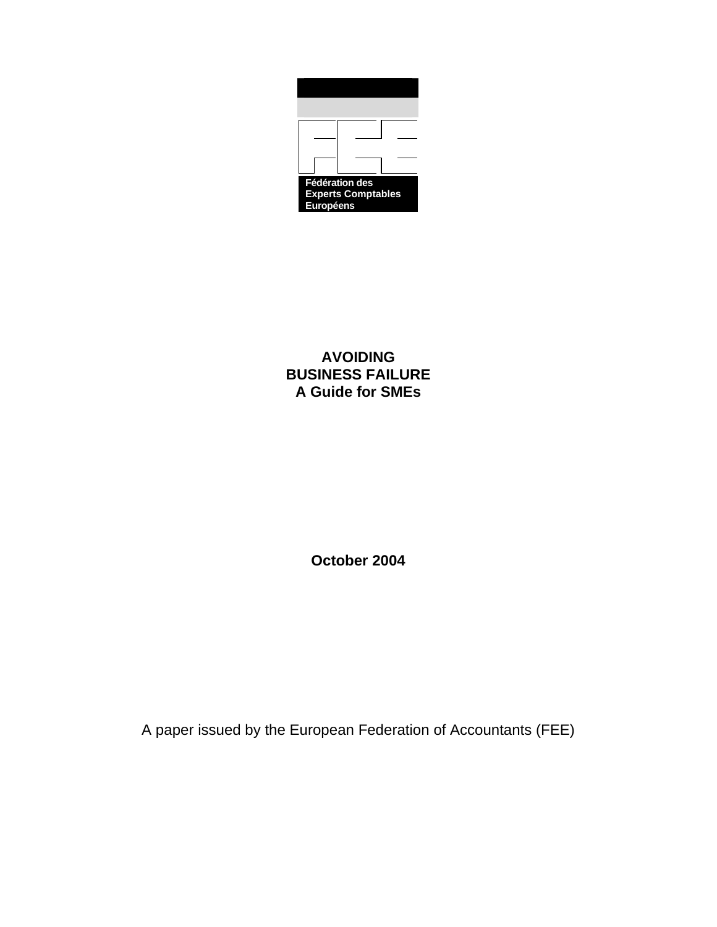

**AVOIDING BUSINESS FAILURE A Guide for SMEs** 

**October 2004** 

A paper issued by the European Federation of Accountants (FEE)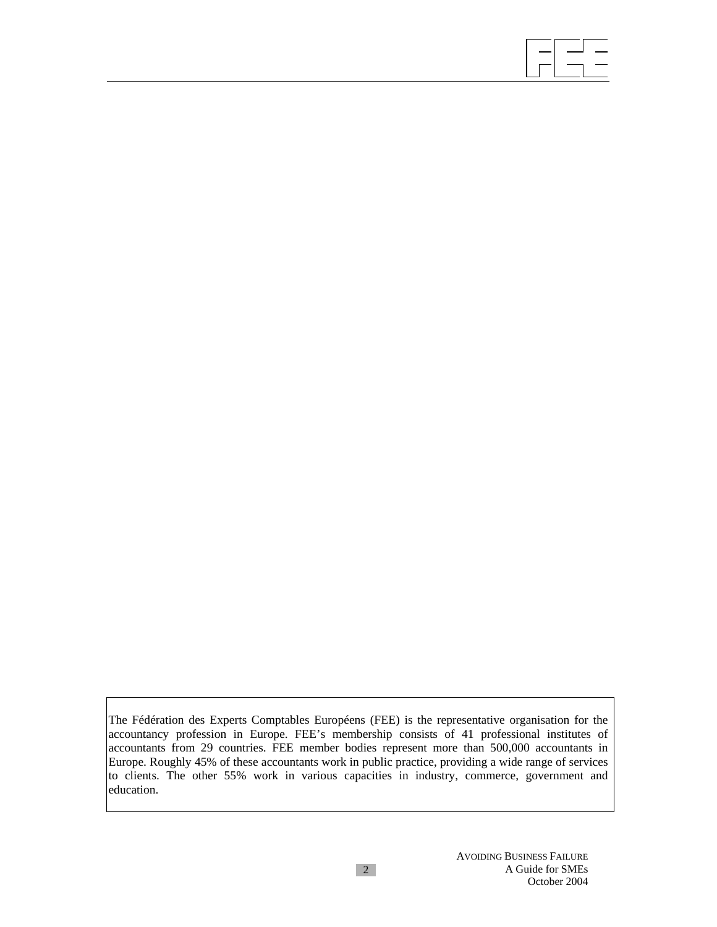

The Fédération des Experts Comptables Européens (FEE) is the representative organisation for the accountancy profession in Europe. FEE's membership consists of 41 professional institutes of accountants from 29 countries. FEE member bodies represent more than 500,000 accountants in Europe. Roughly 45% of these accountants work in public practice, providing a wide range of services to clients. The other 55% work in various capacities in industry, commerce, government and education.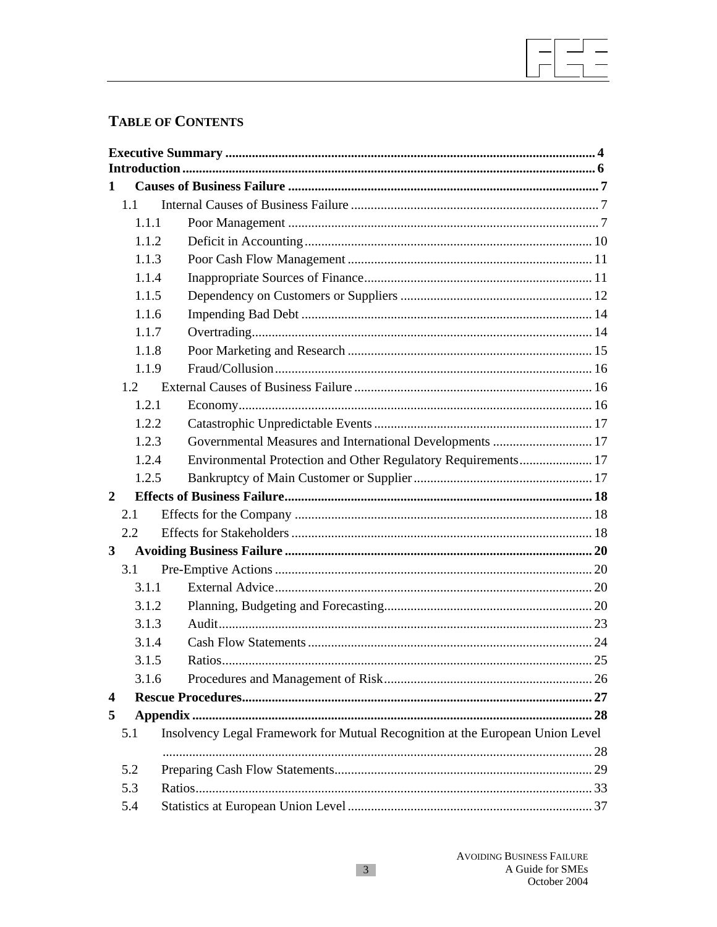# **TABLE OF CONTENTS**

| 1                |                                                                                      |                                                               |  |  |  |  |
|------------------|--------------------------------------------------------------------------------------|---------------------------------------------------------------|--|--|--|--|
| 1.1              |                                                                                      |                                                               |  |  |  |  |
|                  | 1.1.1                                                                                |                                                               |  |  |  |  |
|                  | 1.1.2                                                                                |                                                               |  |  |  |  |
|                  | 1.1.3                                                                                |                                                               |  |  |  |  |
|                  | 1.1.4                                                                                |                                                               |  |  |  |  |
|                  | 1.1.5                                                                                |                                                               |  |  |  |  |
|                  | 1.1.6                                                                                |                                                               |  |  |  |  |
|                  | 1.1.7                                                                                |                                                               |  |  |  |  |
|                  | 1.1.8                                                                                |                                                               |  |  |  |  |
|                  | 1.1.9                                                                                |                                                               |  |  |  |  |
| 1.2              |                                                                                      |                                                               |  |  |  |  |
|                  | 1.2.1                                                                                |                                                               |  |  |  |  |
|                  | 1.2.2                                                                                |                                                               |  |  |  |  |
|                  | 1.2.3                                                                                | Governmental Measures and International Developments  17      |  |  |  |  |
|                  | 1.2.4                                                                                | Environmental Protection and Other Regulatory Requirements 17 |  |  |  |  |
|                  | 1.2.5                                                                                |                                                               |  |  |  |  |
| $\mathbf{2}$     |                                                                                      |                                                               |  |  |  |  |
|                  | 2.1                                                                                  |                                                               |  |  |  |  |
|                  | 2.2                                                                                  |                                                               |  |  |  |  |
| 3                |                                                                                      |                                                               |  |  |  |  |
|                  | 3.1                                                                                  |                                                               |  |  |  |  |
|                  | 3.1.1                                                                                |                                                               |  |  |  |  |
|                  | 3.1.2                                                                                |                                                               |  |  |  |  |
| 3.1.3            |                                                                                      |                                                               |  |  |  |  |
| 3.1.4            |                                                                                      |                                                               |  |  |  |  |
| 3.1.5            |                                                                                      |                                                               |  |  |  |  |
|                  | 3.1.6                                                                                |                                                               |  |  |  |  |
| $\boldsymbol{4}$ |                                                                                      |                                                               |  |  |  |  |
| 5                |                                                                                      |                                                               |  |  |  |  |
|                  | Insolvency Legal Framework for Mutual Recognition at the European Union Level<br>5.1 |                                                               |  |  |  |  |
|                  |                                                                                      |                                                               |  |  |  |  |
| 5.2              |                                                                                      |                                                               |  |  |  |  |
| 5.3              |                                                                                      |                                                               |  |  |  |  |
| 5.4              |                                                                                      |                                                               |  |  |  |  |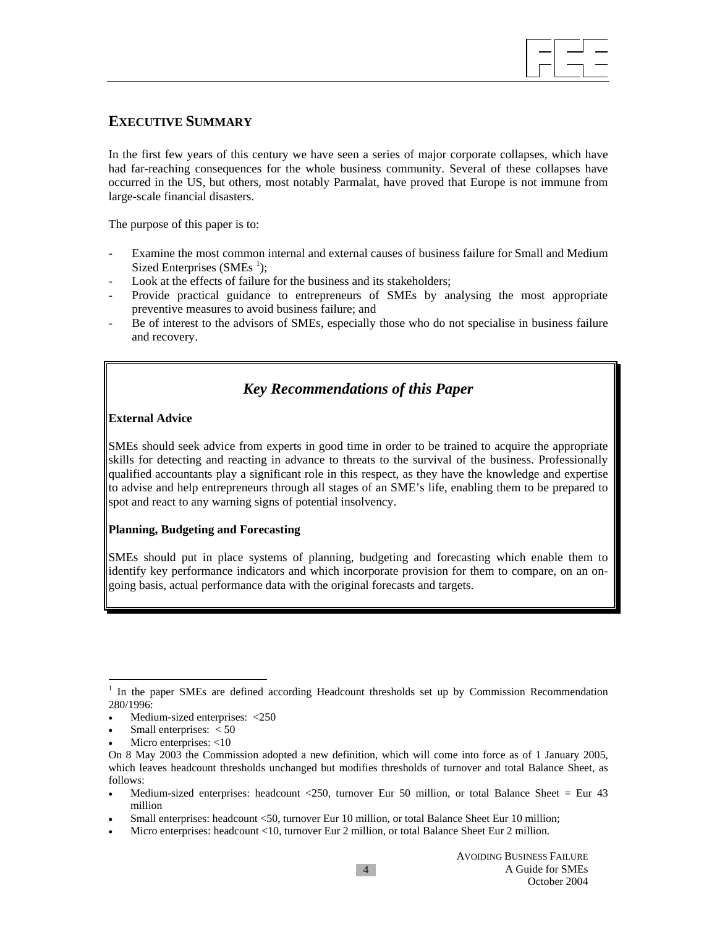

## **EXECUTIVE SUMMARY**

In the first few years of this century we have seen a series of major corporate collapses, which have had far-reaching consequences for the whole business community. Several of these collapses have occurred in the US, but others, most notably Parmalat, have proved that Europe is not immune from large-scale financial disasters.

The purpose of this paper is to:

- Examine the most common internal and external causes of business failure for Small and Medium Sized Enterprises  $(SMEs<sup>1</sup>)$ ;
- Look at the effects of failure for the business and its stakeholders;
- Provide practical guidance to entrepreneurs of SMEs by analysing the most appropriate preventive measures to avoid business failure; and
- Be of interest to the advisors of SMEs, especially those who do not specialise in business failure and recovery.

# *Key Recommendations of this Paper*

## **External Advice**

SMEs should seek advice from experts in good time in order to be trained to acquire the appropriate skills for detecting and reacting in advance to threats to the survival of the business. Professionally qualified accountants play a significant role in this respect, as they have the knowledge and expertise to advise and help entrepreneurs through all stages of an SME's life, enabling them to be prepared to spot and react to any warning signs of potential insolvency.

#### **Planning, Budgeting and Forecasting**

SMEs should put in place systems of planning, budgeting and forecasting which enable them to identify key performance indicators and which incorporate provision for them to compare, on an ongoing basis, actual performance data with the original forecasts and targets.

 $\overline{\phantom{a}}$ 

<sup>&</sup>lt;sup>1</sup> In the paper SMEs are defined according Headcount thresholds set up by Commission Recommendation 280/1996:

Medium-sized enterprises: <250

Small enterprises:  $<$  50

Micro enterprises: <10

On 8 May 2003 the Commission adopted a new definition, which will come into force as of 1 January 2005, which leaves headcount thresholds unchanged but modifies thresholds of turnover and total Balance Sheet, as follows:

<sup>•</sup> Medium-sized enterprises: headcount <250, turnover Eur 50 million, or total Balance Sheet = Eur 43 million

<sup>•</sup> Small enterprises: headcount <50, turnover Eur 10 million, or total Balance Sheet Eur 10 million;

<sup>•</sup> Micro enterprises: headcount <10, turnover Eur 2 million, or total Balance Sheet Eur 2 million.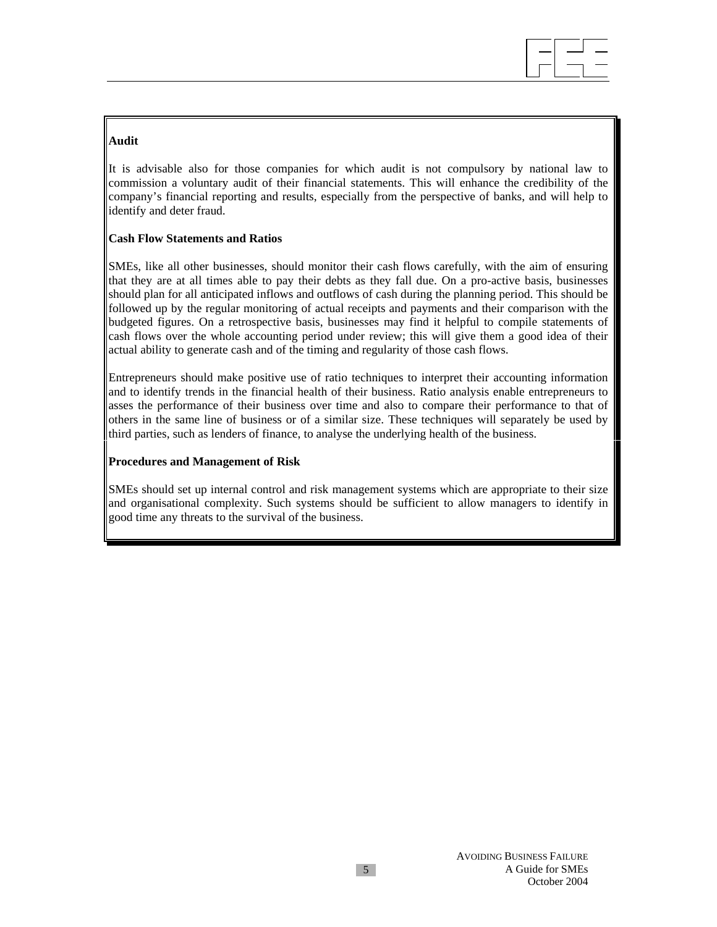

## **Audit**

It is advisable also for those companies for which audit is not compulsory by national law to commission a voluntary audit of their financial statements. This will enhance the credibility of the company's financial reporting and results, especially from the perspective of banks, and will help to identify and deter fraud.

## **Cash Flow Statements and Ratios**

SMEs, like all other businesses, should monitor their cash flows carefully, with the aim of ensuring that they are at all times able to pay their debts as they fall due. On a pro-active basis, businesses should plan for all anticipated inflows and outflows of cash during the planning period. This should be followed up by the regular monitoring of actual receipts and payments and their comparison with the budgeted figures. On a retrospective basis, businesses may find it helpful to compile statements of cash flows over the whole accounting period under review; this will give them a good idea of their actual ability to generate cash and of the timing and regularity of those cash flows.

Entrepreneurs should make positive use of ratio techniques to interpret their accounting information and to identify trends in the financial health of their business. Ratio analysis enable entrepreneurs to asses the performance of their business over time and also to compare their performance to that of others in the same line of business or of a similar size. These techniques will separately be used by third parties, such as lenders of finance, to analyse the underlying health of the business.

## **Procedures and Management of Risk**

SMEs should set up internal control and risk management systems which are appropriate to their size and organisational complexity. Such systems should be sufficient to allow managers to identify in good time any threats to the survival of the business.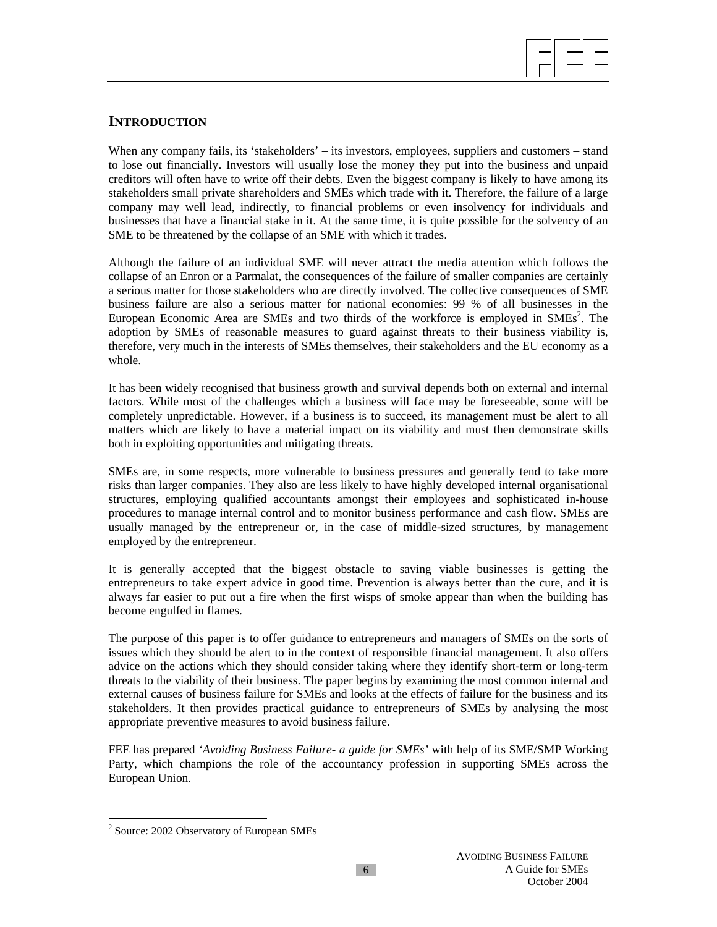

## **INTRODUCTION**

When any company fails, its 'stakeholders' – its investors, employees, suppliers and customers – stand to lose out financially. Investors will usually lose the money they put into the business and unpaid creditors will often have to write off their debts. Even the biggest company is likely to have among its stakeholders small private shareholders and SMEs which trade with it. Therefore, the failure of a large company may well lead, indirectly, to financial problems or even insolvency for individuals and businesses that have a financial stake in it. At the same time, it is quite possible for the solvency of an SME to be threatened by the collapse of an SME with which it trades.

Although the failure of an individual SME will never attract the media attention which follows the collapse of an Enron or a Parmalat, the consequences of the failure of smaller companies are certainly a serious matter for those stakeholders who are directly involved. The collective consequences of SME business failure are also a serious matter for national economies: 99 % of all businesses in the European Economic Area are SMEs and two thirds of the workforce is employed in  $SMEs<sup>2</sup>$ . The adoption by SMEs of reasonable measures to guard against threats to their business viability is, therefore, very much in the interests of SMEs themselves, their stakeholders and the EU economy as a whole.

It has been widely recognised that business growth and survival depends both on external and internal factors. While most of the challenges which a business will face may be foreseeable, some will be completely unpredictable. However, if a business is to succeed, its management must be alert to all matters which are likely to have a material impact on its viability and must then demonstrate skills both in exploiting opportunities and mitigating threats.

SMEs are, in some respects, more vulnerable to business pressures and generally tend to take more risks than larger companies. They also are less likely to have highly developed internal organisational structures, employing qualified accountants amongst their employees and sophisticated in-house procedures to manage internal control and to monitor business performance and cash flow. SMEs are usually managed by the entrepreneur or, in the case of middle-sized structures, by management employed by the entrepreneur.

It is generally accepted that the biggest obstacle to saving viable businesses is getting the entrepreneurs to take expert advice in good time. Prevention is always better than the cure, and it is always far easier to put out a fire when the first wisps of smoke appear than when the building has become engulfed in flames.

The purpose of this paper is to offer guidance to entrepreneurs and managers of SMEs on the sorts of issues which they should be alert to in the context of responsible financial management. It also offers advice on the actions which they should consider taking where they identify short-term or long-term threats to the viability of their business. The paper begins by examining the most common internal and external causes of business failure for SMEs and looks at the effects of failure for the business and its stakeholders. It then provides practical guidance to entrepreneurs of SMEs by analysing the most appropriate preventive measures to avoid business failure.

FEE has prepared *'Avoiding Business Failure- a guide for SMEs'* with help of its SME/SMP Working Party, which champions the role of the accountancy profession in supporting SMEs across the European Union.

<sup>&</sup>lt;sup>2</sup> Source: 2002 Observatory of European SMEs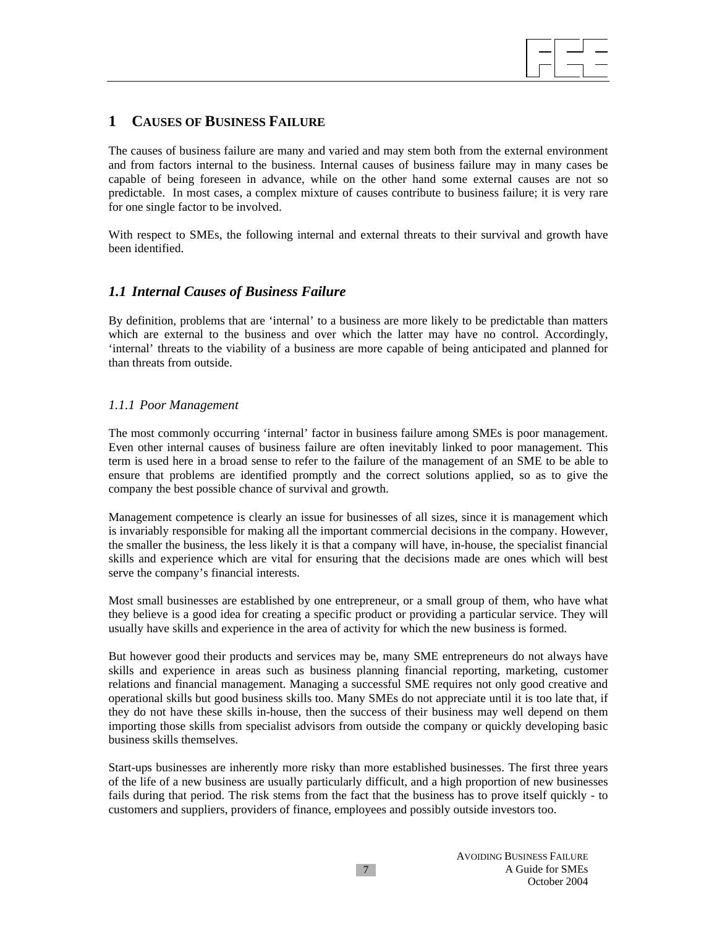

## **1 CAUSES OF BUSINESS FAILURE**

The causes of business failure are many and varied and may stem both from the external environment and from factors internal to the business. Internal causes of business failure may in many cases be capable of being foreseen in advance, while on the other hand some external causes are not so predictable. In most cases, a complex mixture of causes contribute to business failure; it is very rare for one single factor to be involved.

With respect to SMEs, the following internal and external threats to their survival and growth have been identified.

## *1.1 Internal Causes of Business Failure*

By definition, problems that are 'internal' to a business are more likely to be predictable than matters which are external to the business and over which the latter may have no control. Accordingly, 'internal' threats to the viability of a business are more capable of being anticipated and planned for than threats from outside.

## *1.1.1 Poor Management*

The most commonly occurring 'internal' factor in business failure among SMEs is poor management. Even other internal causes of business failure are often inevitably linked to poor management. This term is used here in a broad sense to refer to the failure of the management of an SME to be able to ensure that problems are identified promptly and the correct solutions applied, so as to give the company the best possible chance of survival and growth.

Management competence is clearly an issue for businesses of all sizes, since it is management which is invariably responsible for making all the important commercial decisions in the company. However, the smaller the business, the less likely it is that a company will have, in-house, the specialist financial skills and experience which are vital for ensuring that the decisions made are ones which will best serve the company's financial interests.

Most small businesses are established by one entrepreneur, or a small group of them, who have what they believe is a good idea for creating a specific product or providing a particular service. They will usually have skills and experience in the area of activity for which the new business is formed.

But however good their products and services may be, many SME entrepreneurs do not always have skills and experience in areas such as business planning financial reporting, marketing, customer relations and financial management. Managing a successful SME requires not only good creative and operational skills but good business skills too. Many SMEs do not appreciate until it is too late that, if they do not have these skills in-house, then the success of their business may well depend on them importing those skills from specialist advisors from outside the company or quickly developing basic business skills themselves.

Start-ups businesses are inherently more risky than more established businesses. The first three years of the life of a new business are usually particularly difficult, and a high proportion of new businesses fails during that period. The risk stems from the fact that the business has to prove itself quickly - to customers and suppliers, providers of finance, employees and possibly outside investors too.

7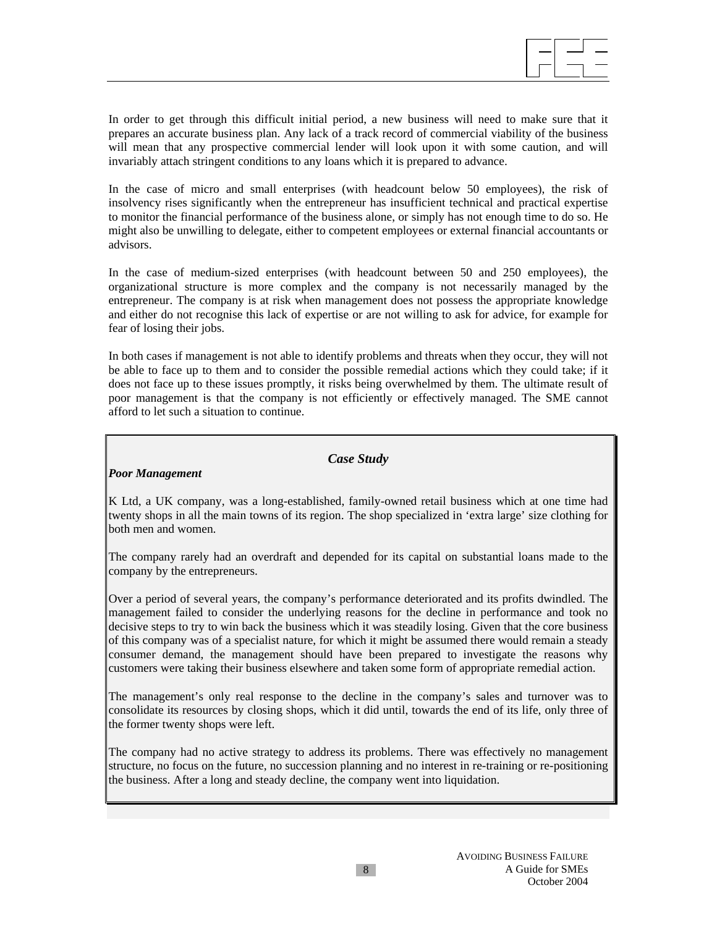

In order to get through this difficult initial period, a new business will need to make sure that it prepares an accurate business plan. Any lack of a track record of commercial viability of the business will mean that any prospective commercial lender will look upon it with some caution, and will invariably attach stringent conditions to any loans which it is prepared to advance.

In the case of micro and small enterprises (with headcount below 50 employees), the risk of insolvency rises significantly when the entrepreneur has insufficient technical and practical expertise to monitor the financial performance of the business alone, or simply has not enough time to do so. He might also be unwilling to delegate, either to competent employees or external financial accountants or advisors.

In the case of medium-sized enterprises (with headcount between 50 and 250 employees), the organizational structure is more complex and the company is not necessarily managed by the entrepreneur. The company is at risk when management does not possess the appropriate knowledge and either do not recognise this lack of expertise or are not willing to ask for advice, for example for fear of losing their jobs.

In both cases if management is not able to identify problems and threats when they occur, they will not be able to face up to them and to consider the possible remedial actions which they could take; if it does not face up to these issues promptly, it risks being overwhelmed by them. The ultimate result of poor management is that the company is not efficiently or effectively managed. The SME cannot afford to let such a situation to continue.

## *Case Study*

## *Poor Management*

K Ltd, a UK company, was a long-established, family-owned retail business which at one time had twenty shops in all the main towns of its region. The shop specialized in 'extra large' size clothing for both men and women.

The company rarely had an overdraft and depended for its capital on substantial loans made to the company by the entrepreneurs.

Over a period of several years, the company's performance deteriorated and its profits dwindled. The management failed to consider the underlying reasons for the decline in performance and took no decisive steps to try to win back the business which it was steadily losing. Given that the core business of this company was of a specialist nature, for which it might be assumed there would remain a steady consumer demand, the management should have been prepared to investigate the reasons why customers were taking their business elsewhere and taken some form of appropriate remedial action.

The management's only real response to the decline in the company's sales and turnover was to consolidate its resources by closing shops, which it did until, towards the end of its life, only three of the former twenty shops were left.

The company had no active strategy to address its problems. There was effectively no management structure, no focus on the future, no succession planning and no interest in re-training or re-positioning the business. After a long and steady decline, the company went into liquidation.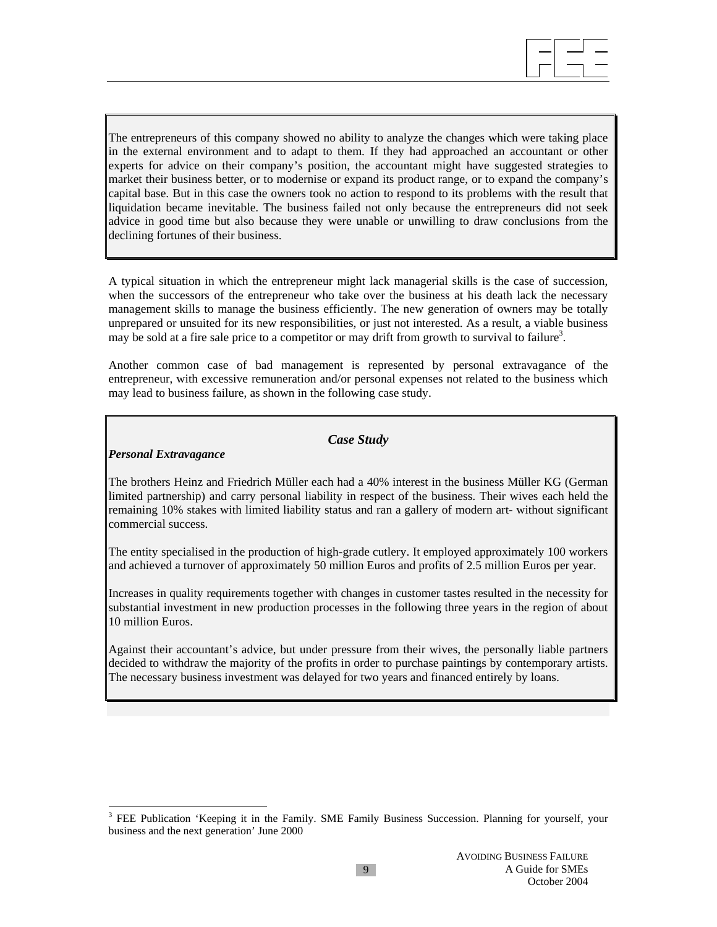

The entrepreneurs of this company showed no ability to analyze the changes which were taking place in the external environment and to adapt to them. If they had approached an accountant or other experts for advice on their company's position, the accountant might have suggested strategies to market their business better, or to modernise or expand its product range, or to expand the company's capital base. But in this case the owners took no action to respond to its problems with the result that liquidation became inevitable. The business failed not only because the entrepreneurs did not seek advice in good time but also because they were unable or unwilling to draw conclusions from the declining fortunes of their business.

A typical situation in which the entrepreneur might lack managerial skills is the case of succession, when the successors of the entrepreneur who take over the business at his death lack the necessary management skills to manage the business efficiently. The new generation of owners may be totally unprepared or unsuited for its new responsibilities, or just not interested. As a result, a viable business may be sold at a fire sale price to a competitor or may drift from growth to survival to failure<sup>3</sup>.

Another common case of bad management is represented by personal extravagance of the entrepreneur, with excessive remuneration and/or personal expenses not related to the business which may lead to business failure, as shown in the following case study.

## *Case Study*

## *Personal Extravagance*

 $\overline{a}$ 

The brothers Heinz and Friedrich Müller each had a 40% interest in the business Müller KG (German limited partnership) and carry personal liability in respect of the business. Their wives each held the remaining 10% stakes with limited liability status and ran a gallery of modern art- without significant commercial success.

The entity specialised in the production of high-grade cutlery. It employed approximately 100 workers and achieved a turnover of approximately 50 million Euros and profits of 2.5 million Euros per year.

Increases in quality requirements together with changes in customer tastes resulted in the necessity for substantial investment in new production processes in the following three years in the region of about 10 million Euros.

Against their accountant's advice, but under pressure from their wives, the personally liable partners decided to withdraw the majority of the profits in order to purchase paintings by contemporary artists. The necessary business investment was delayed for two years and financed entirely by loans.

<sup>&</sup>lt;sup>3</sup> FEE Publication 'Keeping it in the Family. SME Family Business Succession. Planning for yourself, your business and the next generation' June 2000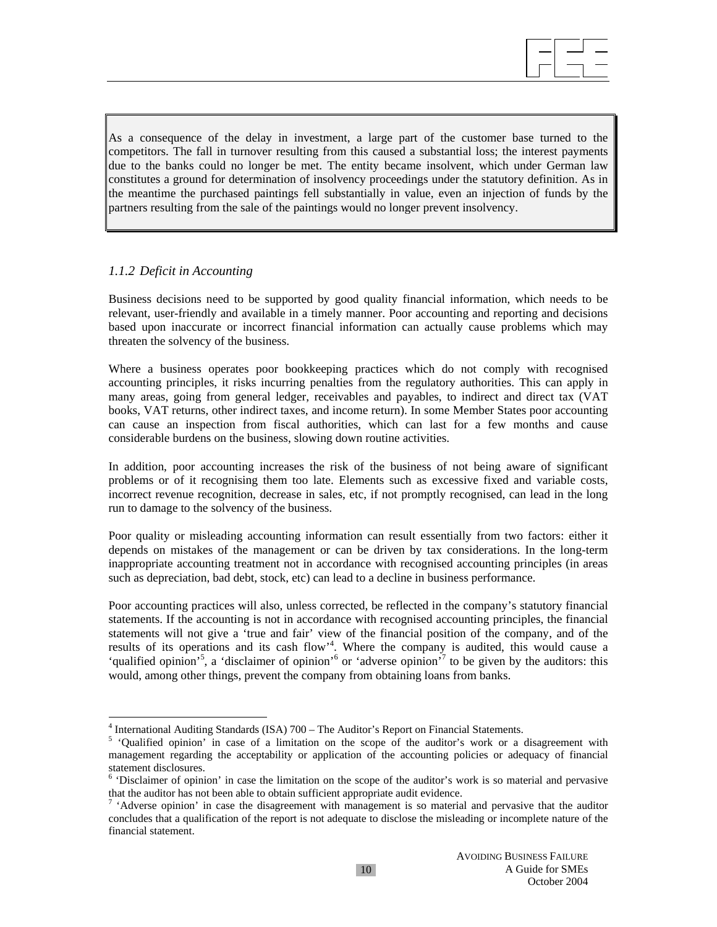

As a consequence of the delay in investment, a large part of the customer base turned to the competitors. The fall in turnover resulting from this caused a substantial loss; the interest payments due to the banks could no longer be met. The entity became insolvent, which under German law constitutes a ground for determination of insolvency proceedings under the statutory definition. As in the meantime the purchased paintings fell substantially in value, even an injection of funds by the partners resulting from the sale of the paintings would no longer prevent insolvency.

## *1.1.2 Deficit in Accounting*

Business decisions need to be supported by good quality financial information, which needs to be relevant, user-friendly and available in a timely manner. Poor accounting and reporting and decisions based upon inaccurate or incorrect financial information can actually cause problems which may threaten the solvency of the business.

Where a business operates poor bookkeeping practices which do not comply with recognised accounting principles, it risks incurring penalties from the regulatory authorities. This can apply in many areas, going from general ledger, receivables and payables, to indirect and direct tax (VAT books, VAT returns, other indirect taxes, and income return). In some Member States poor accounting can cause an inspection from fiscal authorities, which can last for a few months and cause considerable burdens on the business, slowing down routine activities.

In addition, poor accounting increases the risk of the business of not being aware of significant problems or of it recognising them too late. Elements such as excessive fixed and variable costs, incorrect revenue recognition, decrease in sales, etc, if not promptly recognised, can lead in the long run to damage to the solvency of the business.

Poor quality or misleading accounting information can result essentially from two factors: either it depends on mistakes of the management or can be driven by tax considerations. In the long-term inappropriate accounting treatment not in accordance with recognised accounting principles (in areas such as depreciation, bad debt, stock, etc) can lead to a decline in business performance.

Poor accounting practices will also, unless corrected, be reflected in the company's statutory financial statements. If the accounting is not in accordance with recognised accounting principles, the financial statements will not give a 'true and fair' view of the financial position of the company, and of the results of its operations and its cash flow<sup>4</sup>. Where the company is audited, this would cause a 'qualified opinion'<sup>5</sup>, a 'disclaimer of opinion'<sup>6</sup> or 'adverse opinion'<sup>7</sup> to be given by the auditors: this would, among other things, prevent the company from obtaining loans from banks.

<sup>&</sup>lt;sup>4</sup> International Auditing Standards (ISA) 700 – The Auditor's Report on Financial Statements.<br><sup>5</sup> 'Qualified opinion' in case of a limitation on the scope of the auditor's work or a disagreement with management regarding the acceptability or application of the accounting policies or adequacy of financial statement disclosures.

<sup>&</sup>lt;sup>6</sup> 'Disclaimer of opinion' in case the limitation on the scope of the auditor's work is so material and pervasive that the auditor has not been able to obtain sufficient appropriate audit evidence.

<sup>&</sup>lt;sup>7</sup> 'Adverse opinion' in case the disagreement with management is so material and pervasive that the auditor concludes that a qualification of the report is not adequate to disclose the misleading or incomplete nature of the financial statement.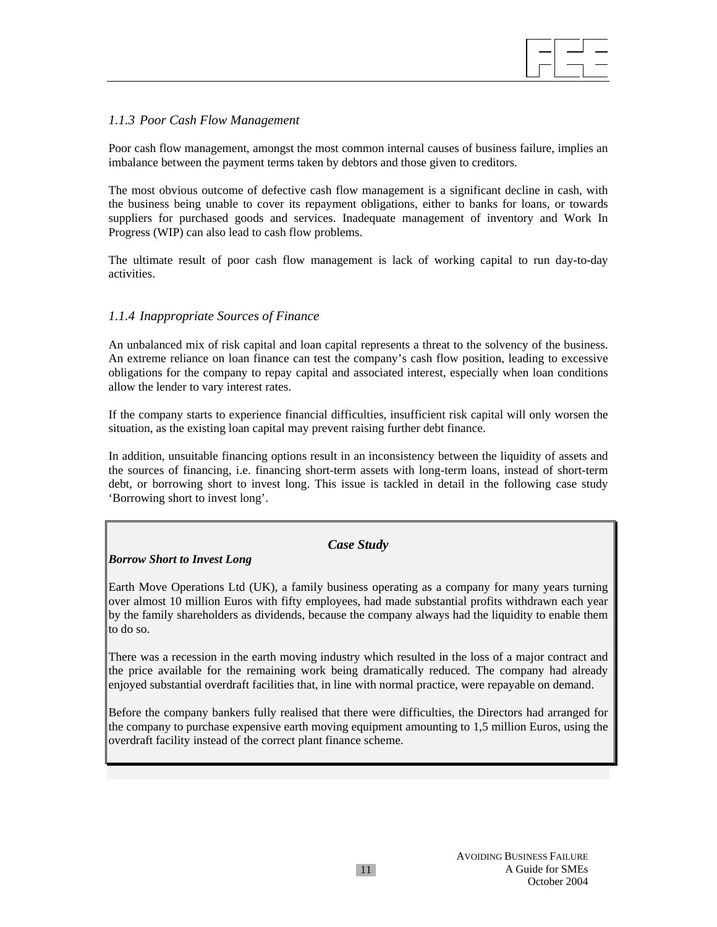

### *1.1.3 Poor Cash Flow Management*

Poor cash flow management, amongst the most common internal causes of business failure, implies an imbalance between the payment terms taken by debtors and those given to creditors.

The most obvious outcome of defective cash flow management is a significant decline in cash, with the business being unable to cover its repayment obligations, either to banks for loans, or towards suppliers for purchased goods and services. Inadequate management of inventory and Work In Progress (WIP) can also lead to cash flow problems.

The ultimate result of poor cash flow management is lack of working capital to run day-to-day activities.

## *1.1.4 Inappropriate Sources of Finance*

An unbalanced mix of risk capital and loan capital represents a threat to the solvency of the business. An extreme reliance on loan finance can test the company's cash flow position, leading to excessive obligations for the company to repay capital and associated interest, especially when loan conditions allow the lender to vary interest rates.

If the company starts to experience financial difficulties, insufficient risk capital will only worsen the situation, as the existing loan capital may prevent raising further debt finance.

In addition, unsuitable financing options result in an inconsistency between the liquidity of assets and the sources of financing, i.e. financing short-term assets with long-term loans, instead of short-term debt, or borrowing short to invest long. This issue is tackled in detail in the following case study 'Borrowing short to invest long'.

#### *Case Study*

#### *Borrow Short to Invest Long*

Earth Move Operations Ltd (UK), a family business operating as a company for many years turning over almost 10 million Euros with fifty employees, had made substantial profits withdrawn each year by the family shareholders as dividends, because the company always had the liquidity to enable them to do so.

There was a recession in the earth moving industry which resulted in the loss of a major contract and the price available for the remaining work being dramatically reduced. The company had already enjoyed substantial overdraft facilities that, in line with normal practice, were repayable on demand.

Before the company bankers fully realised that there were difficulties, the Directors had arranged for the company to purchase expensive earth moving equipment amounting to 1,5 million Euros, using the overdraft facility instead of the correct plant finance scheme.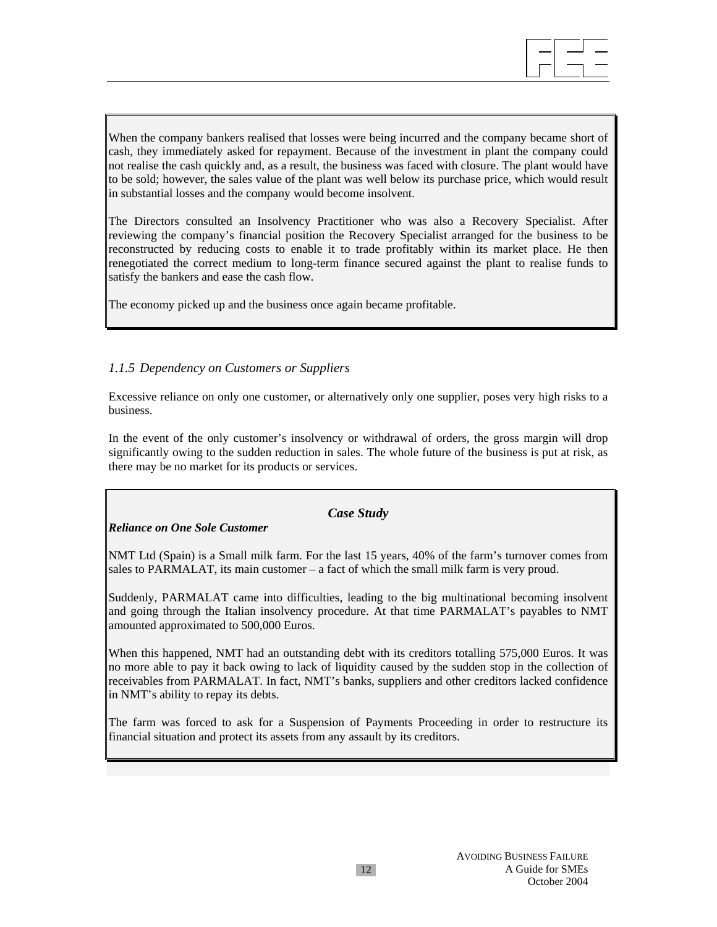

When the company bankers realised that losses were being incurred and the company became short of cash, they immediately asked for repayment. Because of the investment in plant the company could not realise the cash quickly and, as a result, the business was faced with closure. The plant would have to be sold; however, the sales value of the plant was well below its purchase price, which would result in substantial losses and the company would become insolvent.

The Directors consulted an Insolvency Practitioner who was also a Recovery Specialist. After reviewing the company's financial position the Recovery Specialist arranged for the business to be reconstructed by reducing costs to enable it to trade profitably within its market place. He then renegotiated the correct medium to long-term finance secured against the plant to realise funds to satisfy the bankers and ease the cash flow.

The economy picked up and the business once again became profitable.

## *1.1.5 Dependency on Customers or Suppliers*

Excessive reliance on only one customer, or alternatively only one supplier, poses very high risks to a business.

In the event of the only customer's insolvency or withdrawal of orders, the gross margin will drop significantly owing to the sudden reduction in sales. The whole future of the business is put at risk, as there may be no market for its products or services.

## *Case Study*

## *Reliance on One Sole Customer*

NMT Ltd (Spain) is a Small milk farm. For the last 15 years, 40% of the farm's turnover comes from sales to PARMALAT, its main customer – a fact of which the small milk farm is very proud.

Suddenly, PARMALAT came into difficulties, leading to the big multinational becoming insolvent and going through the Italian insolvency procedure. At that time PARMALAT's payables to NMT amounted approximated to 500,000 Euros.

When this happened, NMT had an outstanding debt with its creditors totalling 575,000 Euros. It was no more able to pay it back owing to lack of liquidity caused by the sudden stop in the collection of receivables from PARMALAT. In fact, NMT's banks, suppliers and other creditors lacked confidence in NMT's ability to repay its debts.

The farm was forced to ask for a Suspension of Payments Proceeding in order to restructure its financial situation and protect its assets from any assault by its creditors.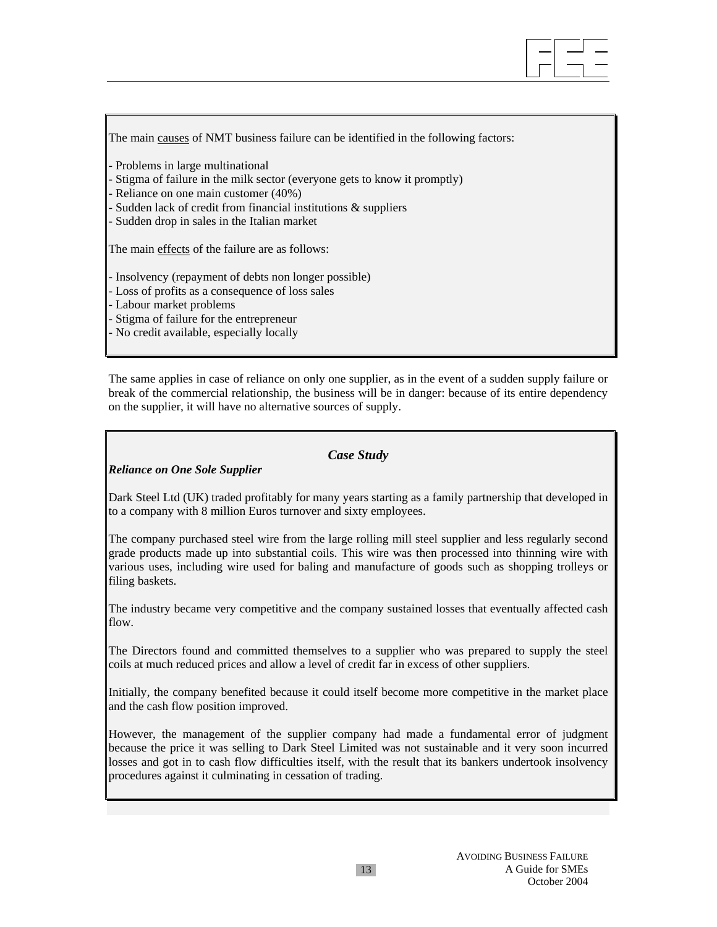

The main causes of NMT business failure can be identified in the following factors:

Problems in large multinational

Stigma of failure in the milk sector (everyone gets to know it promptly)

Reliance on one main customer (40%)

Sudden lack of credit from financial institutions & suppliers

- Sudden drop in sales in the Italian market

The main effects of the failure are as follows:

- Insolvency (repayment of debts non longer possible)

- Loss of profits as a consequence of loss sales

- Labour market problems

Stigma of failure for the entrepreneur

No credit available, especially locally

The same applies in case of reliance on only one supplier, as in the event of a sudden supply failure or break of the commercial relationship, the business will be in danger: because of its entire dependency on the supplier, it will have no alternative sources of supply.

## *Case Study*

## *Reliance on One Sole Supplier*

Dark Steel Ltd (UK) traded profitably for many years starting as a family partnership that developed in to a company with 8 million Euros turnover and sixty employees.

The company purchased steel wire from the large rolling mill steel supplier and less regularly second grade products made up into substantial coils. This wire was then processed into thinning wire with various uses, including wire used for baling and manufacture of goods such as shopping trolleys or filing baskets.

The industry became very competitive and the company sustained losses that eventually affected cash flow.

The Directors found and committed themselves to a supplier who was prepared to supply the steel coils at much reduced prices and allow a level of credit far in excess of other suppliers.

Initially, the company benefited because it could itself become more competitive in the market place and the cash flow position improved.

However, the management of the supplier company had made a fundamental error of judgment because the price it was selling to Dark Steel Limited was not sustainable and it very soon incurred losses and got in to cash flow difficulties itself, with the result that its bankers undertook insolvency procedures against it culminating in cessation of trading.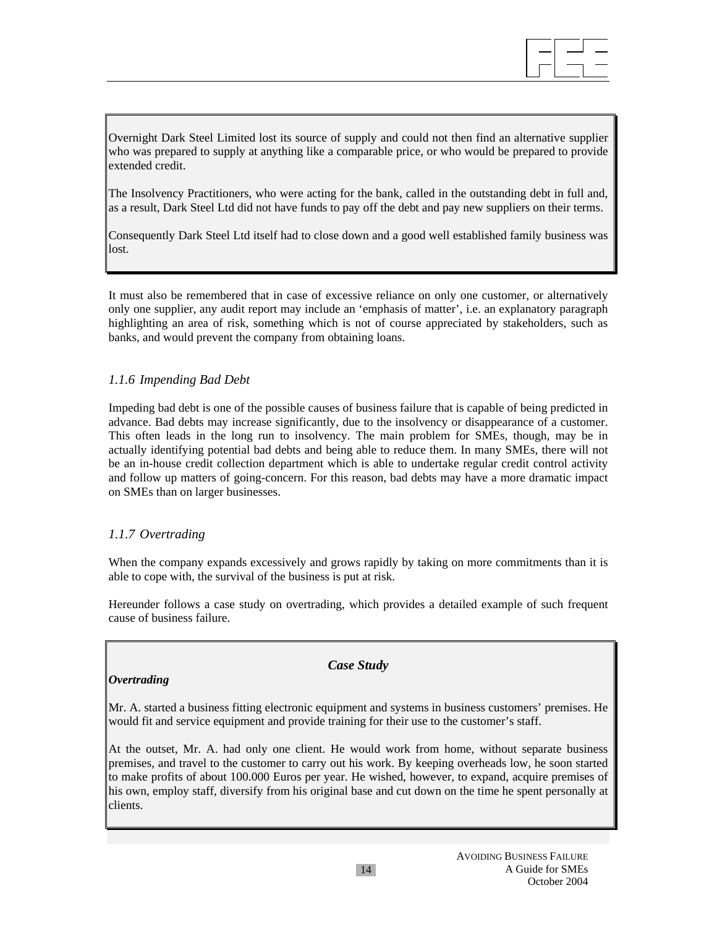

Overnight Dark Steel Limited lost its source of supply and could not then find an alternative supplier who was prepared to supply at anything like a comparable price, or who would be prepared to provide extended credit.

The Insolvency Practitioners, who were acting for the bank, called in the outstanding debt in full and, as a result, Dark Steel Ltd did not have funds to pay off the debt and pay new suppliers on their terms.

Consequently Dark Steel Ltd itself had to close down and a good well established family business was lost.

It must also be remembered that in case of excessive reliance on only one customer, or alternatively only one supplier, any audit report may include an 'emphasis of matter', i.e. an explanatory paragraph highlighting an area of risk, something which is not of course appreciated by stakeholders, such as banks, and would prevent the company from obtaining loans.

## *1.1.6 Impending Bad Debt*

Impeding bad debt is one of the possible causes of business failure that is capable of being predicted in advance. Bad debts may increase significantly, due to the insolvency or disappearance of a customer. This often leads in the long run to insolvency. The main problem for SMEs, though, may be in actually identifying potential bad debts and being able to reduce them. In many SMEs, there will not be an in-house credit collection department which is able to undertake regular credit control activity and follow up matters of going-concern. For this reason, bad debts may have a more dramatic impact on SMEs than on larger businesses.

#### *1.1.7 Overtrading*

When the company expands excessively and grows rapidly by taking on more commitments than it is able to cope with, the survival of the business is put at risk.

Hereunder follows a case study on overtrading, which provides a detailed example of such frequent cause of business failure.

## *Overtrading*

### *Case Study*

Mr. A. started a business fitting electronic equipment and systems in business customers' premises. He would fit and service equipment and provide training for their use to the customer's staff.

At the outset, Mr. A. had only one client. He would work from home, without separate business premises, and travel to the customer to carry out his work. By keeping overheads low, he soon started to make profits of about 100.000 Euros per year. He wished, however, to expand, acquire premises of his own, employ staff, diversify from his original base and cut down on the time he spent personally at clients.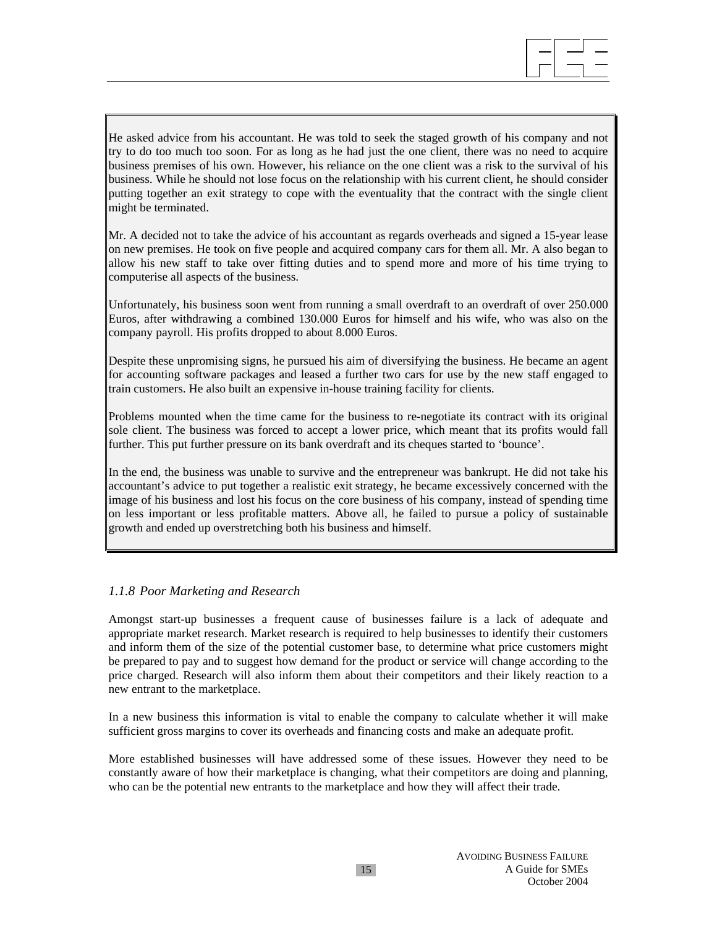

He asked advice from his accountant. He was told to seek the staged growth of his company and not try to do too much too soon. For as long as he had just the one client, there was no need to acquire business premises of his own. However, his reliance on the one client was a risk to the survival of his business. While he should not lose focus on the relationship with his current client, he should consider putting together an exit strategy to cope with the eventuality that the contract with the single client might be terminated.

Mr. A decided not to take the advice of his accountant as regards overheads and signed a 15-year lease on new premises. He took on five people and acquired company cars for them all. Mr. A also began to allow his new staff to take over fitting duties and to spend more and more of his time trying to computerise all aspects of the business.

Unfortunately, his business soon went from running a small overdraft to an overdraft of over 250.000 Euros, after withdrawing a combined 130.000 Euros for himself and his wife, who was also on the company payroll. His profits dropped to about 8.000 Euros.

Despite these unpromising signs, he pursued his aim of diversifying the business. He became an agent for accounting software packages and leased a further two cars for use by the new staff engaged to train customers. He also built an expensive in-house training facility for clients.

Problems mounted when the time came for the business to re-negotiate its contract with its original sole client. The business was forced to accept a lower price, which meant that its profits would fall further. This put further pressure on its bank overdraft and its cheques started to 'bounce'.

In the end, the business was unable to survive and the entrepreneur was bankrupt. He did not take his accountant's advice to put together a realistic exit strategy, he became excessively concerned with the image of his business and lost his focus on the core business of his company, instead of spending time on less important or less profitable matters. Above all, he failed to pursue a policy of sustainable growth and ended up overstretching both his business and himself.

#### *1.1.8 Poor Marketing and Research*

Amongst start-up businesses a frequent cause of businesses failure is a lack of adequate and appropriate market research. Market research is required to help businesses to identify their customers and inform them of the size of the potential customer base, to determine what price customers might be prepared to pay and to suggest how demand for the product or service will change according to the price charged. Research will also inform them about their competitors and their likely reaction to a new entrant to the marketplace.

In a new business this information is vital to enable the company to calculate whether it will make sufficient gross margins to cover its overheads and financing costs and make an adequate profit.

More established businesses will have addressed some of these issues. However they need to be constantly aware of how their marketplace is changing, what their competitors are doing and planning, who can be the potential new entrants to the marketplace and how they will affect their trade.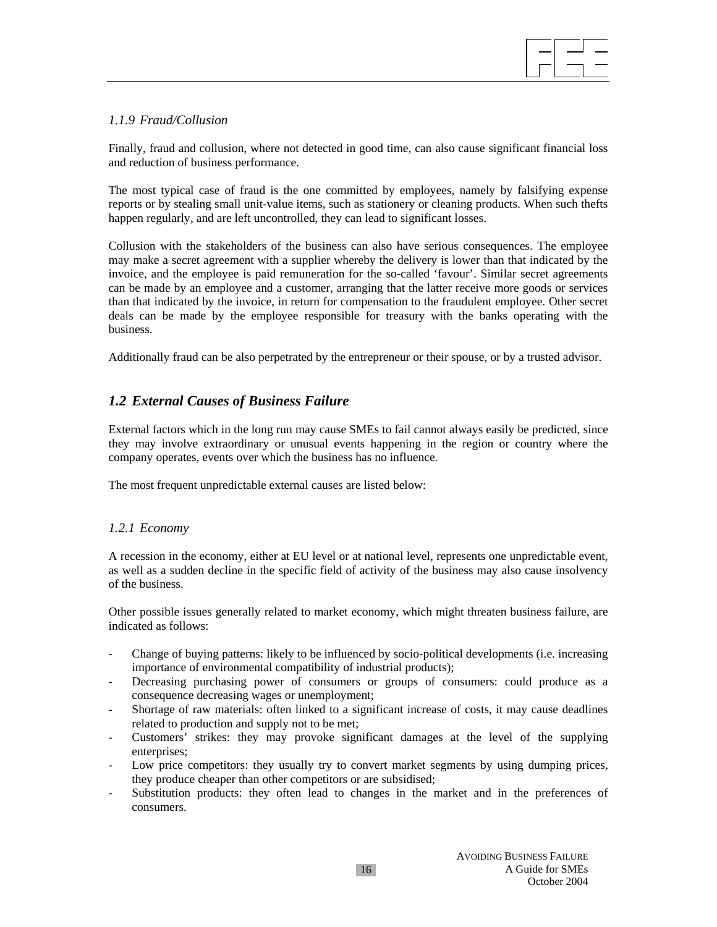

## *1.1.9 Fraud/Collusion*

Finally, fraud and collusion, where not detected in good time, can also cause significant financial loss and reduction of business performance.

The most typical case of fraud is the one committed by employees, namely by falsifying expense reports or by stealing small unit-value items, such as stationery or cleaning products. When such thefts happen regularly, and are left uncontrolled, they can lead to significant losses.

Collusion with the stakeholders of the business can also have serious consequences. The employee may make a secret agreement with a supplier whereby the delivery is lower than that indicated by the invoice, and the employee is paid remuneration for the so-called 'favour'. Similar secret agreements can be made by an employee and a customer, arranging that the latter receive more goods or services than that indicated by the invoice, in return for compensation to the fraudulent employee. Other secret deals can be made by the employee responsible for treasury with the banks operating with the business.

Additionally fraud can be also perpetrated by the entrepreneur or their spouse, or by a trusted advisor.

## *1.2 External Causes of Business Failure*

External factors which in the long run may cause SMEs to fail cannot always easily be predicted, since they may involve extraordinary or unusual events happening in the region or country where the company operates, events over which the business has no influence.

The most frequent unpredictable external causes are listed below:

#### *1.2.1 Economy*

A recession in the economy, either at EU level or at national level, represents one unpredictable event, as well as a sudden decline in the specific field of activity of the business may also cause insolvency of the business.

Other possible issues generally related to market economy, which might threaten business failure, are indicated as follows:

- Change of buying patterns: likely to be influenced by socio-political developments (i.e. increasing importance of environmental compatibility of industrial products);
- Decreasing purchasing power of consumers or groups of consumers: could produce as a consequence decreasing wages or unemployment;
- Shortage of raw materials: often linked to a significant increase of costs, it may cause deadlines related to production and supply not to be met;
- Customers' strikes: they may provoke significant damages at the level of the supplying enterprises;
- Low price competitors: they usually try to convert market segments by using dumping prices, they produce cheaper than other competitors or are subsidised;
- Substitution products: they often lead to changes in the market and in the preferences of consumers.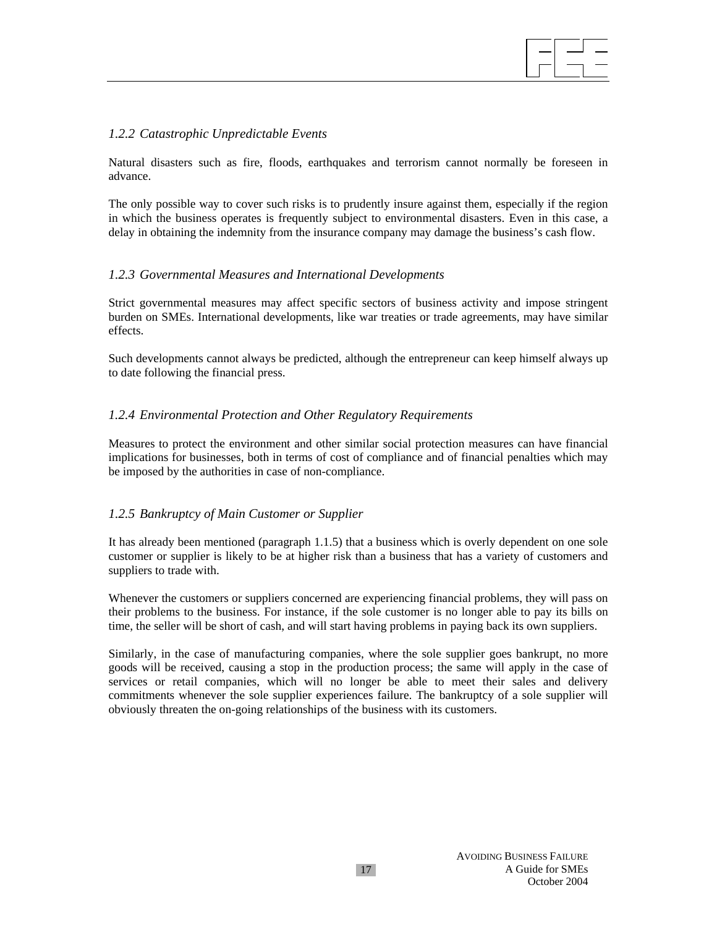#### *1.2.2 Catastrophic Unpredictable Events*

Natural disasters such as fire, floods, earthquakes and terrorism cannot normally be foreseen in advance.

The only possible way to cover such risks is to prudently insure against them, especially if the region in which the business operates is frequently subject to environmental disasters. Even in this case, a delay in obtaining the indemnity from the insurance company may damage the business's cash flow.

#### *1.2.3 Governmental Measures and International Developments*

Strict governmental measures may affect specific sectors of business activity and impose stringent burden on SMEs. International developments, like war treaties or trade agreements, may have similar effects.

Such developments cannot always be predicted, although the entrepreneur can keep himself always up to date following the financial press.

#### *1.2.4 Environmental Protection and Other Regulatory Requirements*

Measures to protect the environment and other similar social protection measures can have financial implications for businesses, both in terms of cost of compliance and of financial penalties which may be imposed by the authorities in case of non-compliance.

#### *1.2.5 Bankruptcy of Main Customer or Supplier*

It has already been mentioned (paragraph 1.1.5) that a business which is overly dependent on one sole customer or supplier is likely to be at higher risk than a business that has a variety of customers and suppliers to trade with.

Whenever the customers or suppliers concerned are experiencing financial problems, they will pass on their problems to the business. For instance, if the sole customer is no longer able to pay its bills on time, the seller will be short of cash, and will start having problems in paying back its own suppliers.

Similarly, in the case of manufacturing companies, where the sole supplier goes bankrupt, no more goods will be received, causing a stop in the production process; the same will apply in the case of services or retail companies, which will no longer be able to meet their sales and delivery commitments whenever the sole supplier experiences failure. The bankruptcy of a sole supplier will obviously threaten the on-going relationships of the business with its customers.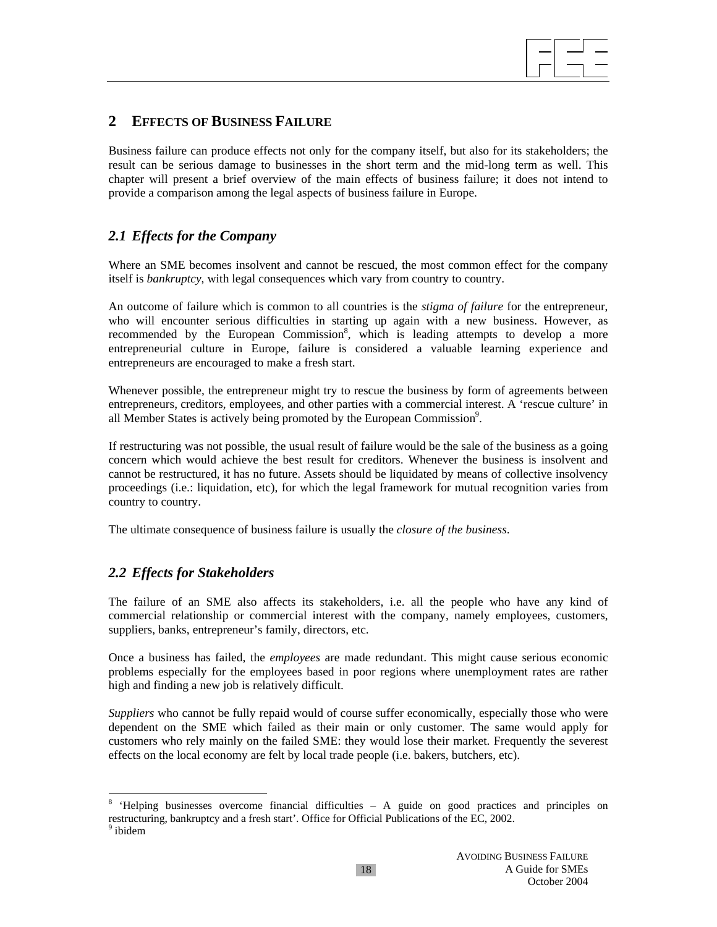

# **2 EFFECTS OF BUSINESS FAILURE**

Business failure can produce effects not only for the company itself, but also for its stakeholders; the result can be serious damage to businesses in the short term and the mid-long term as well. This chapter will present a brief overview of the main effects of business failure; it does not intend to provide a comparison among the legal aspects of business failure in Europe.

# *2.1 Effects for the Company*

Where an SME becomes insolvent and cannot be rescued, the most common effect for the company itself is *bankruptcy*, with legal consequences which vary from country to country.

An outcome of failure which is common to all countries is the *stigma of failure* for the entrepreneur, who will encounter serious difficulties in starting up again with a new business. However, as recommended by the European Commission<sup>8</sup>, which is leading attempts to develop a more entrepreneurial culture in Europe, failure is considered a valuable learning experience and entrepreneurs are encouraged to make a fresh start.

Whenever possible, the entrepreneur might try to rescue the business by form of agreements between entrepreneurs, creditors, employees, and other parties with a commercial interest. A 'rescue culture' in all Member States is actively being promoted by the European Commission<sup>9</sup>.

If restructuring was not possible, the usual result of failure would be the sale of the business as a going concern which would achieve the best result for creditors. Whenever the business is insolvent and cannot be restructured, it has no future. Assets should be liquidated by means of collective insolvency proceedings (i.e.: liquidation, etc), for which the legal framework for mutual recognition varies from country to country.

The ultimate consequence of business failure is usually the *closure of the business*.

## *2.2 Effects for Stakeholders*

 $\overline{a}$ 

The failure of an SME also affects its stakeholders, i.e. all the people who have any kind of commercial relationship or commercial interest with the company, namely employees, customers, suppliers, banks, entrepreneur's family, directors, etc.

Once a business has failed, the *employees* are made redundant. This might cause serious economic problems especially for the employees based in poor regions where unemployment rates are rather high and finding a new job is relatively difficult.

*Suppliers* who cannot be fully repaid would of course suffer economically, especially those who were dependent on the SME which failed as their main or only customer. The same would apply for customers who rely mainly on the failed SME: they would lose their market. Frequently the severest effects on the local economy are felt by local trade people (i.e. bakers, butchers, etc).

<sup>8</sup> 'Helping businesses overcome financial difficulties – A guide on good practices and principles on restructuring, bankruptcy and a fresh start'. Office for Official Publications of the EC, 2002. <sup>9</sup> ibidem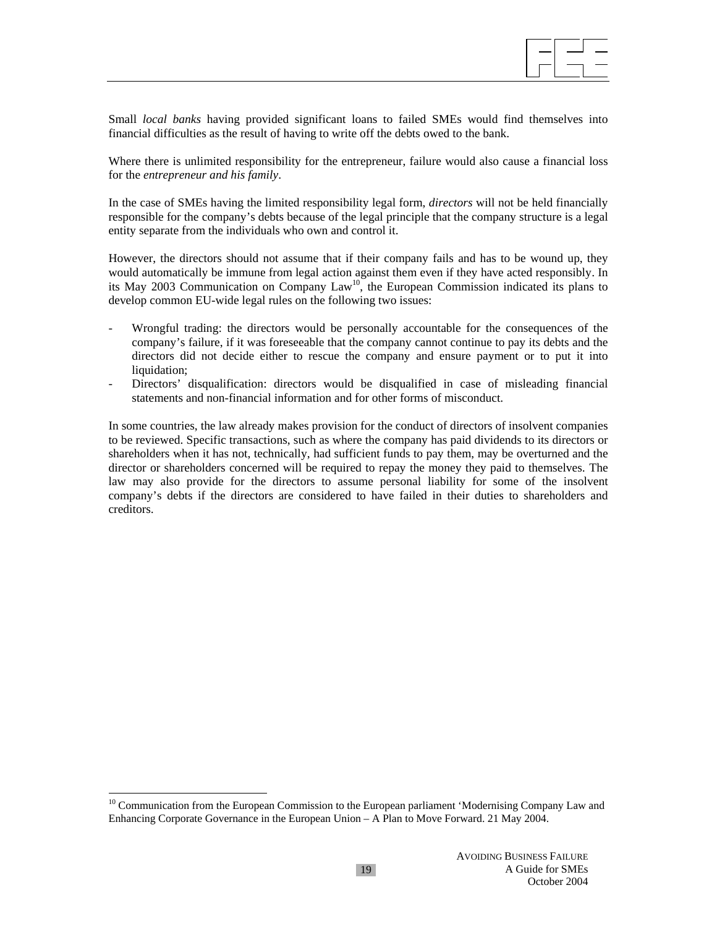

Small *local banks* having provided significant loans to failed SMEs would find themselves into financial difficulties as the result of having to write off the debts owed to the bank.

Where there is unlimited responsibility for the entrepreneur, failure would also cause a financial loss for the *entrepreneur and his family*.

In the case of SMEs having the limited responsibility legal form, *directors* will not be held financially responsible for the company's debts because of the legal principle that the company structure is a legal entity separate from the individuals who own and control it.

However, the directors should not assume that if their company fails and has to be wound up, they would automatically be immune from legal action against them even if they have acted responsibly. In its May 2003 Communication on Company Law<sup>10</sup>, the European Commission indicated its plans to develop common EU-wide legal rules on the following two issues:

- Wrongful trading: the directors would be personally accountable for the consequences of the company's failure, if it was foreseeable that the company cannot continue to pay its debts and the directors did not decide either to rescue the company and ensure payment or to put it into liquidation;
- Directors' disqualification: directors would be disqualified in case of misleading financial statements and non-financial information and for other forms of misconduct.

In some countries, the law already makes provision for the conduct of directors of insolvent companies to be reviewed. Specific transactions, such as where the company has paid dividends to its directors or shareholders when it has not, technically, had sufficient funds to pay them, may be overturned and the director or shareholders concerned will be required to repay the money they paid to themselves. The law may also provide for the directors to assume personal liability for some of the insolvent company's debts if the directors are considered to have failed in their duties to shareholders and creditors.

<sup>&</sup>lt;sup>10</sup> Communication from the European Commission to the European parliament 'Modernising Company Law and Enhancing Corporate Governance in the European Union – A Plan to Move Forward. 21 May 2004.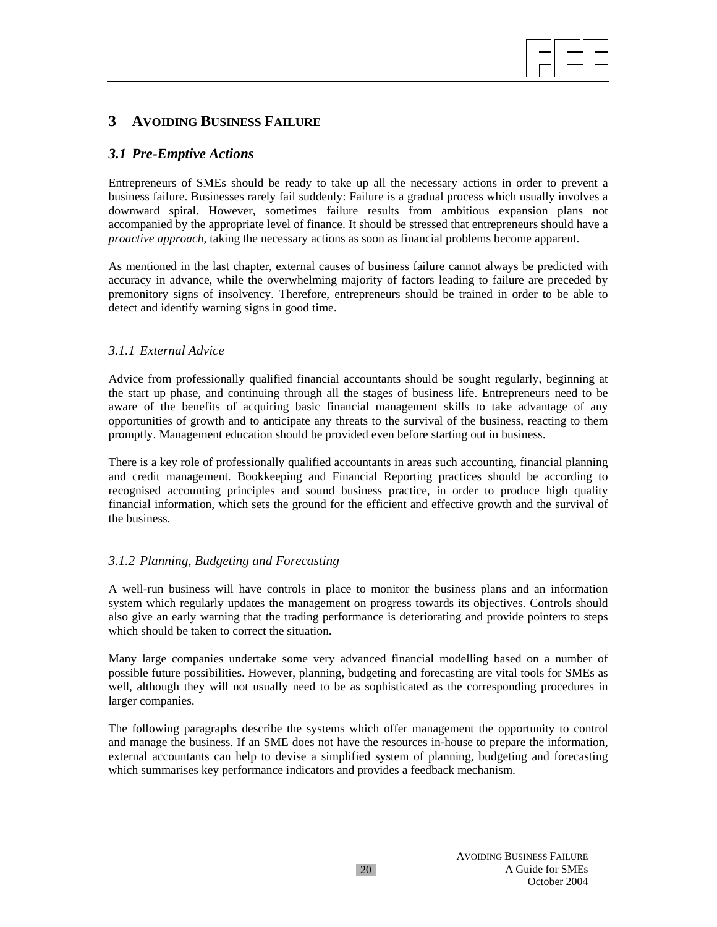# **3 AVOIDING BUSINESS FAILURE**

## *3.1 Pre-Emptive Actions*

Entrepreneurs of SMEs should be ready to take up all the necessary actions in order to prevent a business failure. Businesses rarely fail suddenly: Failure is a gradual process which usually involves a downward spiral. However, sometimes failure results from ambitious expansion plans not accompanied by the appropriate level of finance. It should be stressed that entrepreneurs should have a *proactive approach*, taking the necessary actions as soon as financial problems become apparent.

As mentioned in the last chapter, external causes of business failure cannot always be predicted with accuracy in advance, while the overwhelming majority of factors leading to failure are preceded by premonitory signs of insolvency. Therefore, entrepreneurs should be trained in order to be able to detect and identify warning signs in good time.

## *3.1.1 External Advice*

Advice from professionally qualified financial accountants should be sought regularly, beginning at the start up phase, and continuing through all the stages of business life. Entrepreneurs need to be aware of the benefits of acquiring basic financial management skills to take advantage of any opportunities of growth and to anticipate any threats to the survival of the business, reacting to them promptly. Management education should be provided even before starting out in business.

There is a key role of professionally qualified accountants in areas such accounting, financial planning and credit management. Bookkeeping and Financial Reporting practices should be according to recognised accounting principles and sound business practice, in order to produce high quality financial information, which sets the ground for the efficient and effective growth and the survival of the business.

## *3.1.2 Planning, Budgeting and Forecasting*

A well-run business will have controls in place to monitor the business plans and an information system which regularly updates the management on progress towards its objectives. Controls should also give an early warning that the trading performance is deteriorating and provide pointers to steps which should be taken to correct the situation.

Many large companies undertake some very advanced financial modelling based on a number of possible future possibilities. However, planning, budgeting and forecasting are vital tools for SMEs as well, although they will not usually need to be as sophisticated as the corresponding procedures in larger companies.

The following paragraphs describe the systems which offer management the opportunity to control and manage the business. If an SME does not have the resources in-house to prepare the information, external accountants can help to devise a simplified system of planning, budgeting and forecasting which summarises key performance indicators and provides a feedback mechanism.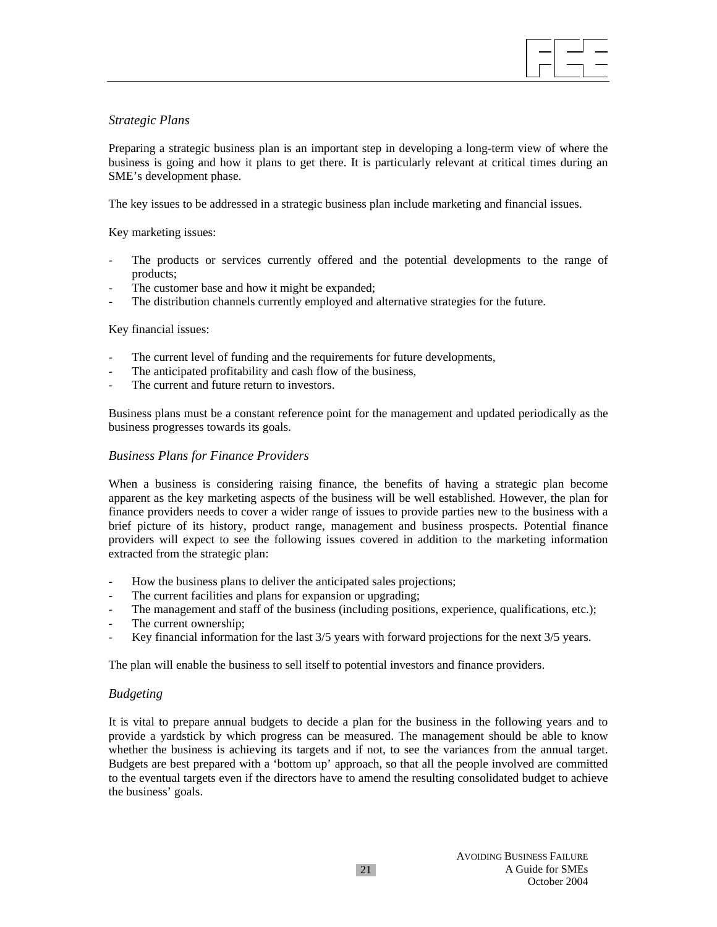

## *Strategic Plans*

Preparing a strategic business plan is an important step in developing a long-term view of where the business is going and how it plans to get there. It is particularly relevant at critical times during an SME's development phase.

The key issues to be addressed in a strategic business plan include marketing and financial issues.

Key marketing issues:

- The products or services currently offered and the potential developments to the range of products;
- The customer base and how it might be expanded;
- The distribution channels currently employed and alternative strategies for the future.

#### Key financial issues:

- The current level of funding and the requirements for future developments,
- The anticipated profitability and cash flow of the business,
- The current and future return to investors.

Business plans must be a constant reference point for the management and updated periodically as the business progresses towards its goals.

## *Business Plans for Finance Providers*

When a business is considering raising finance, the benefits of having a strategic plan become apparent as the key marketing aspects of the business will be well established. However, the plan for finance providers needs to cover a wider range of issues to provide parties new to the business with a brief picture of its history, product range, management and business prospects. Potential finance providers will expect to see the following issues covered in addition to the marketing information extracted from the strategic plan:

- How the business plans to deliver the anticipated sales projections;
- The current facilities and plans for expansion or upgrading;
- The management and staff of the business (including positions, experience, qualifications, etc.);
- The current ownership;
- Key financial information for the last  $3/5$  years with forward projections for the next  $3/5$  years.

The plan will enable the business to sell itself to potential investors and finance providers.

## *Budgeting*

It is vital to prepare annual budgets to decide a plan for the business in the following years and to provide a yardstick by which progress can be measured. The management should be able to know whether the business is achieving its targets and if not, to see the variances from the annual target. Budgets are best prepared with a 'bottom up' approach, so that all the people involved are committed to the eventual targets even if the directors have to amend the resulting consolidated budget to achieve the business' goals.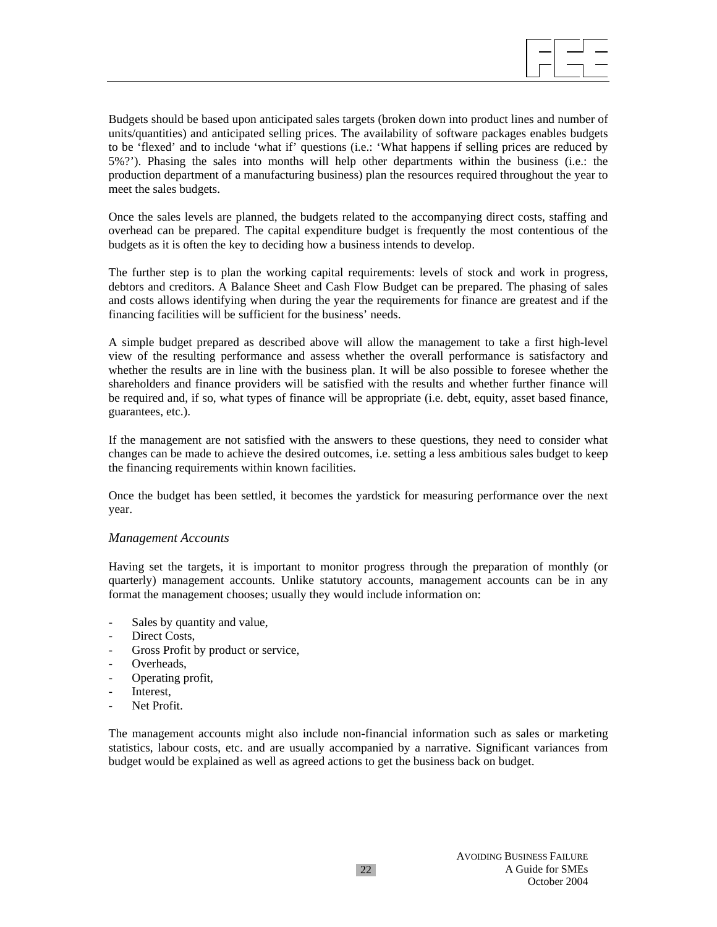Budgets should be based upon anticipated sales targets (broken down into product lines and number of units/quantities) and anticipated selling prices. The availability of software packages enables budgets to be 'flexed' and to include 'what if' questions (i.e.: 'What happens if selling prices are reduced by 5%?'). Phasing the sales into months will help other departments within the business (i.e.: the production department of a manufacturing business) plan the resources required throughout the year to meet the sales budgets.

Once the sales levels are planned, the budgets related to the accompanying direct costs, staffing and overhead can be prepared. The capital expenditure budget is frequently the most contentious of the budgets as it is often the key to deciding how a business intends to develop.

The further step is to plan the working capital requirements: levels of stock and work in progress, debtors and creditors. A Balance Sheet and Cash Flow Budget can be prepared. The phasing of sales and costs allows identifying when during the year the requirements for finance are greatest and if the financing facilities will be sufficient for the business' needs.

A simple budget prepared as described above will allow the management to take a first high-level view of the resulting performance and assess whether the overall performance is satisfactory and whether the results are in line with the business plan. It will be also possible to foresee whether the shareholders and finance providers will be satisfied with the results and whether further finance will be required and, if so, what types of finance will be appropriate (i.e. debt, equity, asset based finance, guarantees, etc.).

If the management are not satisfied with the answers to these questions, they need to consider what changes can be made to achieve the desired outcomes, i.e. setting a less ambitious sales budget to keep the financing requirements within known facilities.

Once the budget has been settled, it becomes the yardstick for measuring performance over the next year.

#### *Management Accounts*

Having set the targets, it is important to monitor progress through the preparation of monthly (or quarterly) management accounts. Unlike statutory accounts, management accounts can be in any format the management chooses; usually they would include information on:

- Sales by quantity and value,
- Direct Costs,
- Gross Profit by product or service,
- Overheads,
- Operating profit,
- Interest,
- Net Profit.

The management accounts might also include non-financial information such as sales or marketing statistics, labour costs, etc. and are usually accompanied by a narrative. Significant variances from budget would be explained as well as agreed actions to get the business back on budget.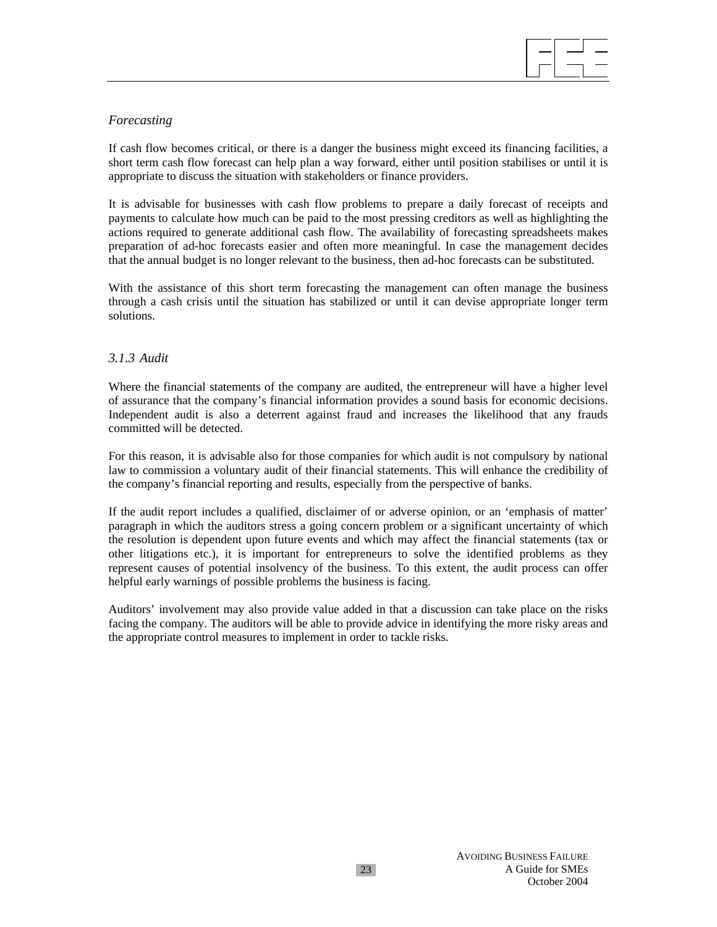

## *Forecasting*

If cash flow becomes critical, or there is a danger the business might exceed its financing facilities, a short term cash flow forecast can help plan a way forward, either until position stabilises or until it is appropriate to discuss the situation with stakeholders or finance providers.

It is advisable for businesses with cash flow problems to prepare a daily forecast of receipts and payments to calculate how much can be paid to the most pressing creditors as well as highlighting the actions required to generate additional cash flow. The availability of forecasting spreadsheets makes preparation of ad-hoc forecasts easier and often more meaningful. In case the management decides that the annual budget is no longer relevant to the business, then ad-hoc forecasts can be substituted.

With the assistance of this short term forecasting the management can often manage the business through a cash crisis until the situation has stabilized or until it can devise appropriate longer term solutions.

## *3.1.3 Audit*

Where the financial statements of the company are audited, the entrepreneur will have a higher level of assurance that the company's financial information provides a sound basis for economic decisions. Independent audit is also a deterrent against fraud and increases the likelihood that any frauds committed will be detected.

For this reason, it is advisable also for those companies for which audit is not compulsory by national law to commission a voluntary audit of their financial statements. This will enhance the credibility of the company's financial reporting and results, especially from the perspective of banks.

If the audit report includes a qualified, disclaimer of or adverse opinion, or an 'emphasis of matter' paragraph in which the auditors stress a going concern problem or a significant uncertainty of which the resolution is dependent upon future events and which may affect the financial statements (tax or other litigations etc.), it is important for entrepreneurs to solve the identified problems as they represent causes of potential insolvency of the business. To this extent, the audit process can offer helpful early warnings of possible problems the business is facing.

Auditors' involvement may also provide value added in that a discussion can take place on the risks facing the company. The auditors will be able to provide advice in identifying the more risky areas and the appropriate control measures to implement in order to tackle risks.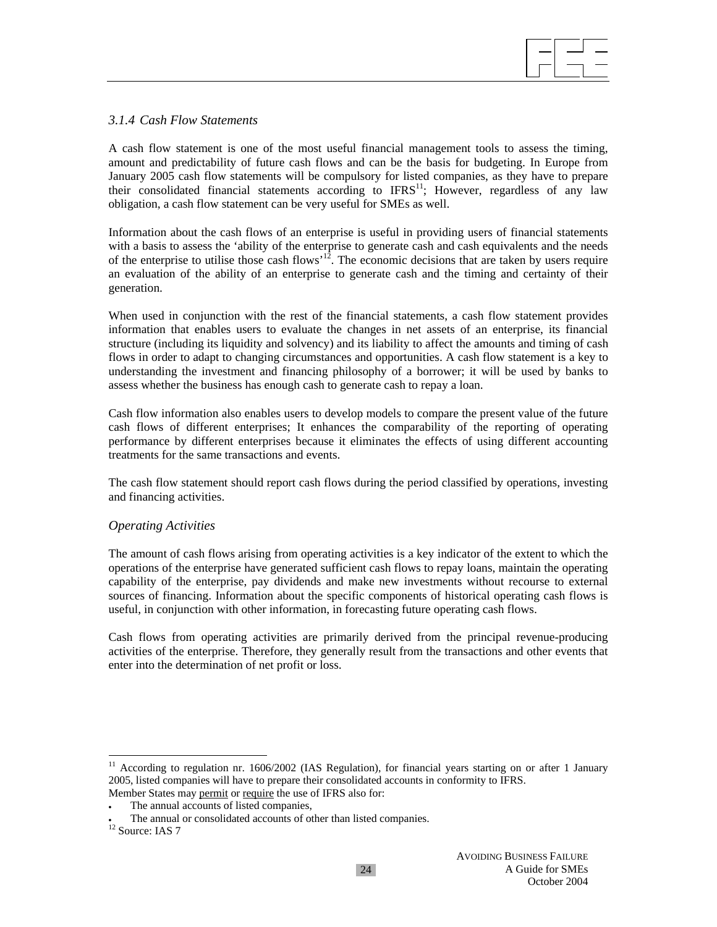

## *3.1.4 Cash Flow Statements*

A cash flow statement is one of the most useful financial management tools to assess the timing, amount and predictability of future cash flows and can be the basis for budgeting. In Europe from January 2005 cash flow statements will be compulsory for listed companies, as they have to prepare their consolidated financial statements according to  $IFRS<sup>11</sup>$ ; However, regardless of any law obligation, a cash flow statement can be very useful for SMEs as well.

Information about the cash flows of an enterprise is useful in providing users of financial statements with a basis to assess the 'ability of the enterprise to generate cash and cash equivalents and the needs of the enterprise to utilise those cash flows'12. The economic decisions that are taken by users require an evaluation of the ability of an enterprise to generate cash and the timing and certainty of their generation.

When used in conjunction with the rest of the financial statements, a cash flow statement provides information that enables users to evaluate the changes in net assets of an enterprise, its financial structure (including its liquidity and solvency) and its liability to affect the amounts and timing of cash flows in order to adapt to changing circumstances and opportunities. A cash flow statement is a key to understanding the investment and financing philosophy of a borrower; it will be used by banks to assess whether the business has enough cash to generate cash to repay a loan.

Cash flow information also enables users to develop models to compare the present value of the future cash flows of different enterprises; It enhances the comparability of the reporting of operating performance by different enterprises because it eliminates the effects of using different accounting treatments for the same transactions and events.

The cash flow statement should report cash flows during the period classified by operations, investing and financing activities.

## *Operating Activities*

The amount of cash flows arising from operating activities is a key indicator of the extent to which the operations of the enterprise have generated sufficient cash flows to repay loans, maintain the operating capability of the enterprise, pay dividends and make new investments without recourse to external sources of financing. Information about the specific components of historical operating cash flows is useful, in conjunction with other information, in forecasting future operating cash flows.

Cash flows from operating activities are primarily derived from the principal revenue-producing activities of the enterprise. Therefore, they generally result from the transactions and other events that enter into the determination of net profit or loss.

l

 $11$  According to regulation nr. 1606/2002 (IAS Regulation), for financial years starting on or after 1 January 2005, listed companies will have to prepare their consolidated accounts in conformity to IFRS. Member States may permit or require the use of IFRS also for:

The annual accounts of listed companies,

<sup>•</sup> The annual or consolidated accounts of other than listed companies.  $12$  Source: IAS 7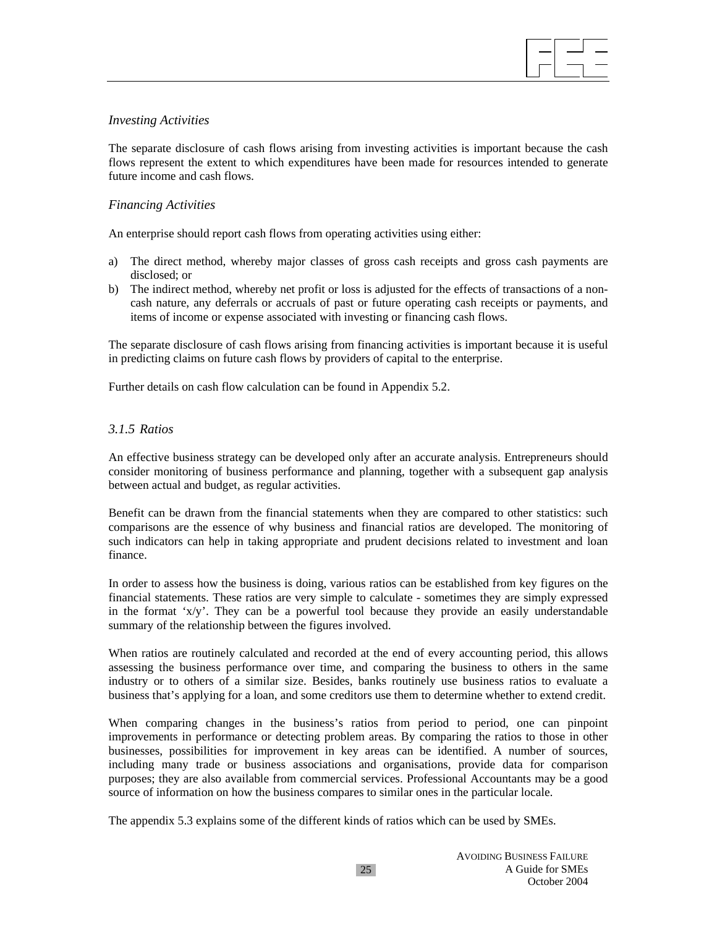

### *Investing Activities*

The separate disclosure of cash flows arising from investing activities is important because the cash flows represent the extent to which expenditures have been made for resources intended to generate future income and cash flows.

## *Financing Activities*

An enterprise should report cash flows from operating activities using either:

- a) The direct method, whereby major classes of gross cash receipts and gross cash payments are disclosed; or
- b) The indirect method, whereby net profit or loss is adjusted for the effects of transactions of a noncash nature, any deferrals or accruals of past or future operating cash receipts or payments, and items of income or expense associated with investing or financing cash flows.

The separate disclosure of cash flows arising from financing activities is important because it is useful in predicting claims on future cash flows by providers of capital to the enterprise.

Further details on cash flow calculation can be found in Appendix 5.2.

## *3.1.5 Ratios*

An effective business strategy can be developed only after an accurate analysis. Entrepreneurs should consider monitoring of business performance and planning, together with a subsequent gap analysis between actual and budget, as regular activities.

Benefit can be drawn from the financial statements when they are compared to other statistics: such comparisons are the essence of why business and financial ratios are developed. The monitoring of such indicators can help in taking appropriate and prudent decisions related to investment and loan finance.

In order to assess how the business is doing, various ratios can be established from key figures on the financial statements. These ratios are very simple to calculate - sometimes they are simply expressed in the format 'x/y'. They can be a powerful tool because they provide an easily understandable summary of the relationship between the figures involved.

When ratios are routinely calculated and recorded at the end of every accounting period, this allows assessing the business performance over time, and comparing the business to others in the same industry or to others of a similar size. Besides, banks routinely use business ratios to evaluate a business that's applying for a loan, and some creditors use them to determine whether to extend credit.

When comparing changes in the business's ratios from period to period, one can pinpoint improvements in performance or detecting problem areas. By comparing the ratios to those in other businesses, possibilities for improvement in key areas can be identified. A number of sources, including many trade or business associations and organisations, provide data for comparison purposes; they are also available from commercial services. Professional Accountants may be a good source of information on how the business compares to similar ones in the particular locale.

The appendix 5.3 explains some of the different kinds of ratios which can be used by SMEs.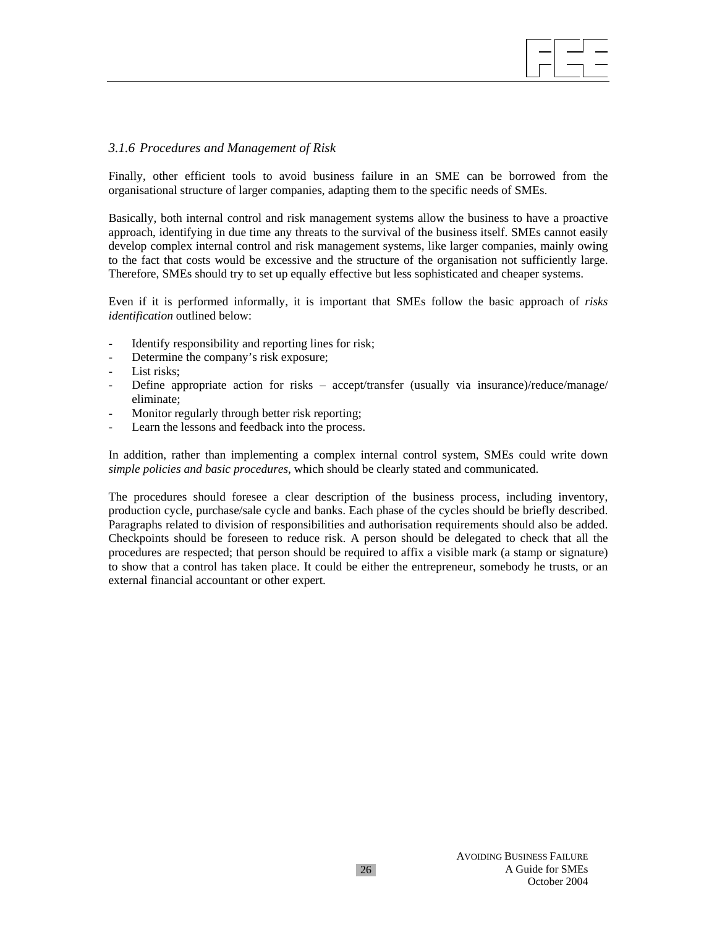### *3.1.6 Procedures and Management of Risk*

Finally, other efficient tools to avoid business failure in an SME can be borrowed from the organisational structure of larger companies, adapting them to the specific needs of SMEs.

Basically, both internal control and risk management systems allow the business to have a proactive approach, identifying in due time any threats to the survival of the business itself. SMEs cannot easily develop complex internal control and risk management systems, like larger companies, mainly owing to the fact that costs would be excessive and the structure of the organisation not sufficiently large. Therefore, SMEs should try to set up equally effective but less sophisticated and cheaper systems.

Even if it is performed informally, it is important that SMEs follow the basic approach of *risks identification* outlined below:

- Identify responsibility and reporting lines for risk;
- Determine the company's risk exposure;
- List risks;
- Define appropriate action for risks accept/transfer (usually via insurance)/reduce/manage/ eliminate;
- Monitor regularly through better risk reporting;
- Learn the lessons and feedback into the process.

In addition, rather than implementing a complex internal control system, SMEs could write down *simple policies and basic procedures*, which should be clearly stated and communicated.

The procedures should foresee a clear description of the business process, including inventory, production cycle, purchase/sale cycle and banks. Each phase of the cycles should be briefly described. Paragraphs related to division of responsibilities and authorisation requirements should also be added. Checkpoints should be foreseen to reduce risk. A person should be delegated to check that all the procedures are respected; that person should be required to affix a visible mark (a stamp or signature) to show that a control has taken place. It could be either the entrepreneur, somebody he trusts, or an external financial accountant or other expert.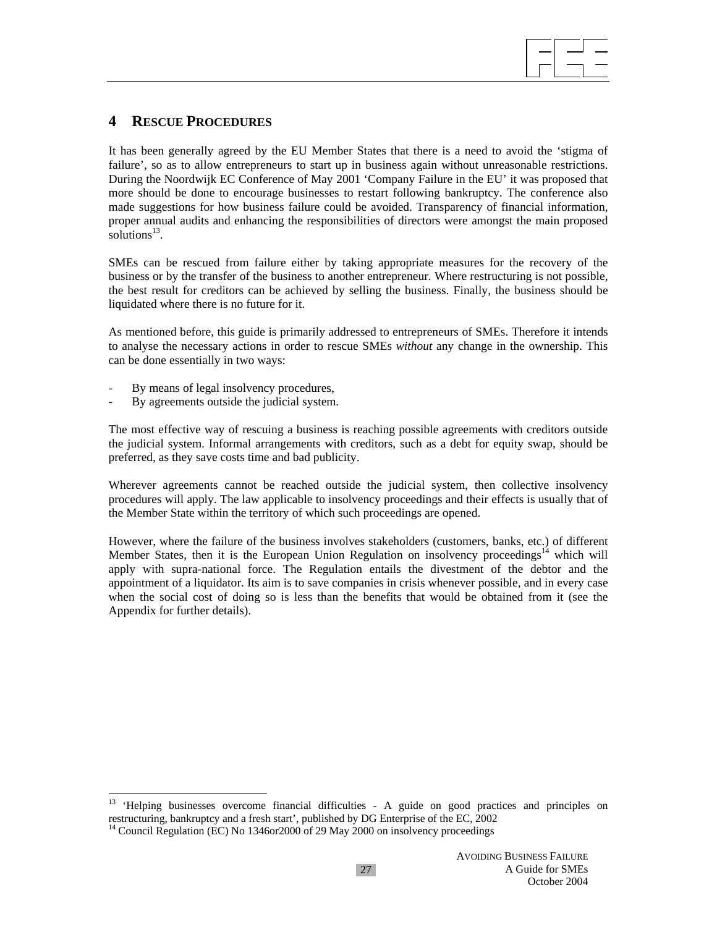

# **4 RESCUE PROCEDURES**

It has been generally agreed by the EU Member States that there is a need to avoid the 'stigma of failure', so as to allow entrepreneurs to start up in business again without unreasonable restrictions. During the Noordwijk EC Conference of May 2001 'Company Failure in the EU' it was proposed that more should be done to encourage businesses to restart following bankruptcy. The conference also made suggestions for how business failure could be avoided. Transparency of financial information, proper annual audits and enhancing the responsibilities of directors were amongst the main proposed solutions $13$ .

SMEs can be rescued from failure either by taking appropriate measures for the recovery of the business or by the transfer of the business to another entrepreneur. Where restructuring is not possible, the best result for creditors can be achieved by selling the business. Finally, the business should be liquidated where there is no future for it.

As mentioned before, this guide is primarily addressed to entrepreneurs of SMEs. Therefore it intends to analyse the necessary actions in order to rescue SMEs *without* any change in the ownership. This can be done essentially in two ways:

- By means of legal insolvency procedures,
- By agreements outside the judicial system.

 $\overline{a}$ 

The most effective way of rescuing a business is reaching possible agreements with creditors outside the judicial system. Informal arrangements with creditors, such as a debt for equity swap, should be preferred, as they save costs time and bad publicity.

Wherever agreements cannot be reached outside the judicial system, then collective insolvency procedures will apply. The law applicable to insolvency proceedings and their effects is usually that of the Member State within the territory of which such proceedings are opened.

However, where the failure of the business involves stakeholders (customers, banks, etc.) of different Member States, then it is the European Union Regulation on insolvency proceedings<sup>14</sup> which will apply with supra-national force. The Regulation entails the divestment of the debtor and the appointment of a liquidator. Its aim is to save companies in crisis whenever possible, and in every case when the social cost of doing so is less than the benefits that would be obtained from it (see the Appendix for further details).

<sup>&</sup>lt;sup>13</sup> 'Helping businesses overcome financial difficulties - A guide on good practices and principles on restructuring, bankruptcy and a fresh start', published by DG Enterprise of the EC, 2002

<sup>&</sup>lt;sup>14</sup> Council Regulation (EC) No 1346or2000 of 29 May 2000 on insolvency proceedings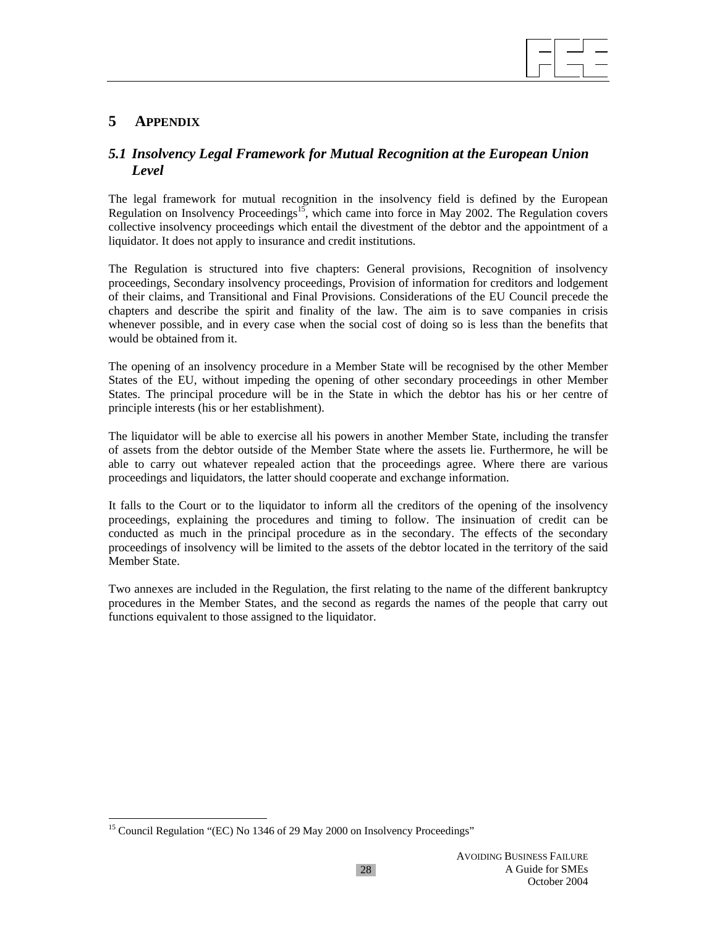

# **5 APPENDIX**

## *5.1 Insolvency Legal Framework for Mutual Recognition at the European Union Level*

The legal framework for mutual recognition in the insolvency field is defined by the European Regulation on Insolvency Proceedings<sup>15</sup>, which came into force in May 2002. The Regulation covers collective insolvency proceedings which entail the divestment of the debtor and the appointment of a liquidator. It does not apply to insurance and credit institutions.

The Regulation is structured into five chapters: General provisions, Recognition of insolvency proceedings, Secondary insolvency proceedings, Provision of information for creditors and lodgement of their claims, and Transitional and Final Provisions. Considerations of the EU Council precede the chapters and describe the spirit and finality of the law. The aim is to save companies in crisis whenever possible, and in every case when the social cost of doing so is less than the benefits that would be obtained from it.

The opening of an insolvency procedure in a Member State will be recognised by the other Member States of the EU, without impeding the opening of other secondary proceedings in other Member States. The principal procedure will be in the State in which the debtor has his or her centre of principle interests (his or her establishment).

The liquidator will be able to exercise all his powers in another Member State, including the transfer of assets from the debtor outside of the Member State where the assets lie. Furthermore, he will be able to carry out whatever repealed action that the proceedings agree. Where there are various proceedings and liquidators, the latter should cooperate and exchange information.

It falls to the Court or to the liquidator to inform all the creditors of the opening of the insolvency proceedings, explaining the procedures and timing to follow. The insinuation of credit can be conducted as much in the principal procedure as in the secondary. The effects of the secondary proceedings of insolvency will be limited to the assets of the debtor located in the territory of the said Member State.

Two annexes are included in the Regulation, the first relating to the name of the different bankruptcy procedures in the Member States, and the second as regards the names of the people that carry out functions equivalent to those assigned to the liquidator.

 $\overline{a}$ <sup>15</sup> Council Regulation "(EC) No 1346 of 29 May 2000 on Insolvency Proceedings"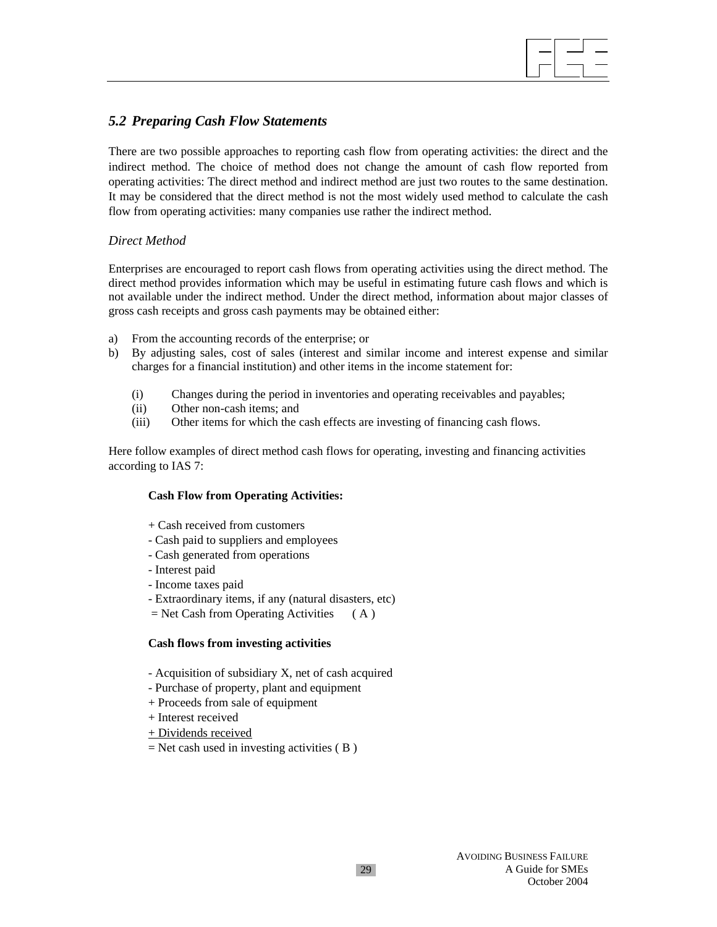## *5.2 Preparing Cash Flow Statements*

There are two possible approaches to reporting cash flow from operating activities: the direct and the indirect method. The choice of method does not change the amount of cash flow reported from operating activities: The direct method and indirect method are just two routes to the same destination. It may be considered that the direct method is not the most widely used method to calculate the cash flow from operating activities: many companies use rather the indirect method.

## *Direct Method*

Enterprises are encouraged to report cash flows from operating activities using the direct method. The direct method provides information which may be useful in estimating future cash flows and which is not available under the indirect method. Under the direct method, information about major classes of gross cash receipts and gross cash payments may be obtained either:

- a) From the accounting records of the enterprise; or
- b) By adjusting sales, cost of sales (interest and similar income and interest expense and similar charges for a financial institution) and other items in the income statement for:
	- (i) Changes during the period in inventories and operating receivables and payables;
	- (ii) Other non-cash items; and
	- (iii) Other items for which the cash effects are investing of financing cash flows.

Here follow examples of direct method cash flows for operating, investing and financing activities according to IAS 7:

#### **Cash Flow from Operating Activities:**

- + Cash received from customers
- Cash paid to suppliers and employees
- Cash generated from operations
- Interest paid
- Income taxes paid
- Extraordinary items, if any (natural disasters, etc)
- $=$  Net Cash from Operating Activities (A)

## **Cash flows from investing activities**

- Acquisition of subsidiary X, net of cash acquired
- Purchase of property, plant and equipment
- + Proceeds from sale of equipment
- + Interest received
- + Dividends received
- $=$  Net cash used in investing activities ( $\bf{B}$ )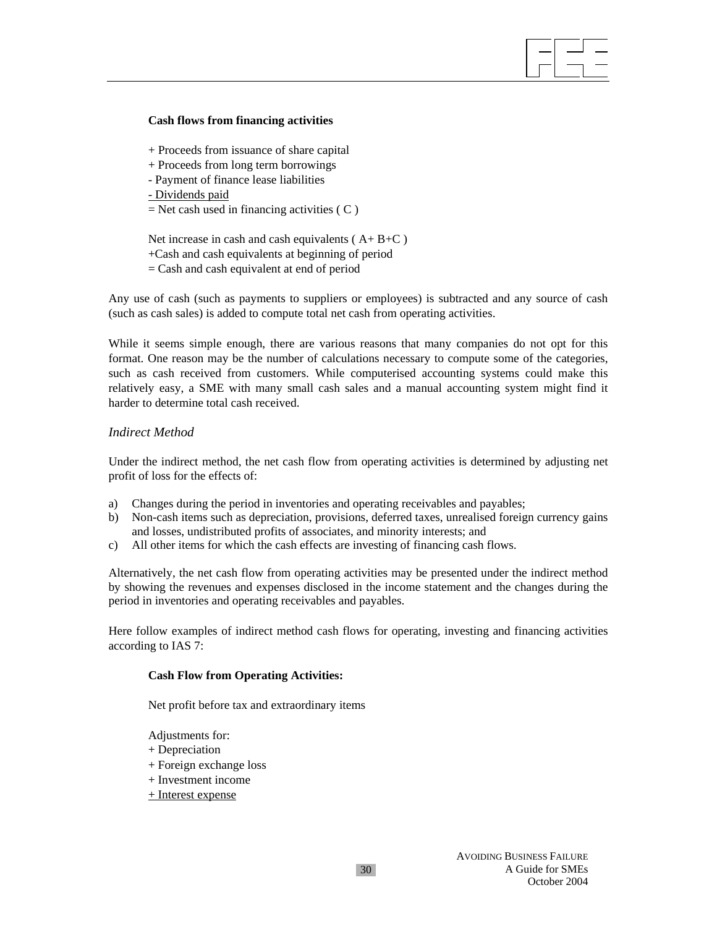#### **Cash flows from financing activities**

- + Proceeds from issuance of share capital
- + Proceeds from long term borrowings
- Payment of finance lease liabilities

- Dividends paid

 $=$  Net cash used in financing activities ( C )

Net increase in cash and cash equivalents  $(A + B + C)$ 

- +Cash and cash equivalents at beginning of period
- = Cash and cash equivalent at end of period

Any use of cash (such as payments to suppliers or employees) is subtracted and any source of cash (such as cash sales) is added to compute total net cash from operating activities.

While it seems simple enough, there are various reasons that many companies do not opt for this format. One reason may be the number of calculations necessary to compute some of the categories, such as cash received from customers. While computerised accounting systems could make this relatively easy, a SME with many small cash sales and a manual accounting system might find it harder to determine total cash received.

## *Indirect Method*

Under the indirect method, the net cash flow from operating activities is determined by adjusting net profit of loss for the effects of:

- a) Changes during the period in inventories and operating receivables and payables;
- b) Non-cash items such as depreciation, provisions, deferred taxes, unrealised foreign currency gains and losses, undistributed profits of associates, and minority interests; and
- c) All other items for which the cash effects are investing of financing cash flows.

Alternatively, the net cash flow from operating activities may be presented under the indirect method by showing the revenues and expenses disclosed in the income statement and the changes during the period in inventories and operating receivables and payables.

Here follow examples of indirect method cash flows for operating, investing and financing activities according to IAS 7:

#### **Cash Flow from Operating Activities:**

Net profit before tax and extraordinary items

- Adjustments for:
- + Depreciation
- + Foreign exchange loss
- + Investment income
- + Interest expense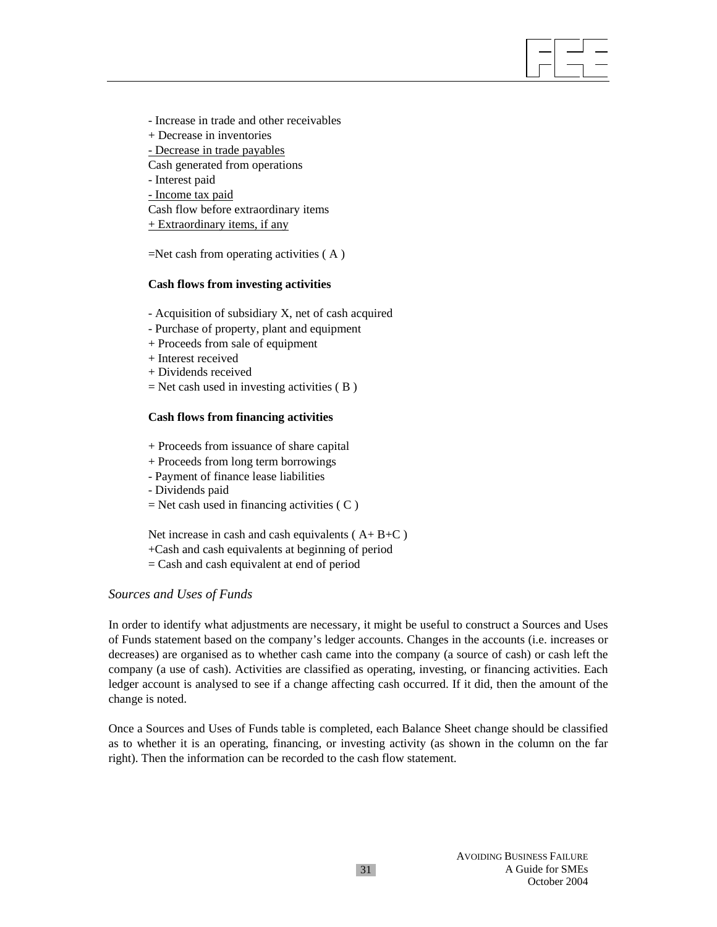- Increase in trade and other receivables

- + Decrease in inventories
- Decrease in trade payables

Cash generated from operations

- Interest paid

- Income tax paid

Cash flow before extraordinary items

 $+$  Extraordinary items, if any

=Net cash from operating activities ( A )

## **Cash flows from investing activities**

- Acquisition of subsidiary X, net of cash acquired

- Purchase of property, plant and equipment
- + Proceeds from sale of equipment
- + Interest received
- + Dividends received
- $=$  Net cash used in investing activities  $( B )$

## **Cash flows from financing activities**

- + Proceeds from issuance of share capital
- + Proceeds from long term borrowings
- Payment of finance lease liabilities
- Dividends paid
- $=$  Net cash used in financing activities ( $C$ )

Net increase in cash and cash equivalents  $(A + B + C)$ 

+Cash and cash equivalents at beginning of period

= Cash and cash equivalent at end of period

## *Sources and Uses of Funds*

In order to identify what adjustments are necessary, it might be useful to construct a Sources and Uses of Funds statement based on the company's ledger accounts. Changes in the accounts (i.e. increases or decreases) are organised as to whether cash came into the company (a source of cash) or cash left the company (a use of cash). Activities are classified as operating, investing, or financing activities. Each ledger account is analysed to see if a change affecting cash occurred. If it did, then the amount of the change is noted.

Once a Sources and Uses of Funds table is completed, each Balance Sheet change should be classified as to whether it is an operating, financing, or investing activity (as shown in the column on the far right). Then the information can be recorded to the cash flow statement.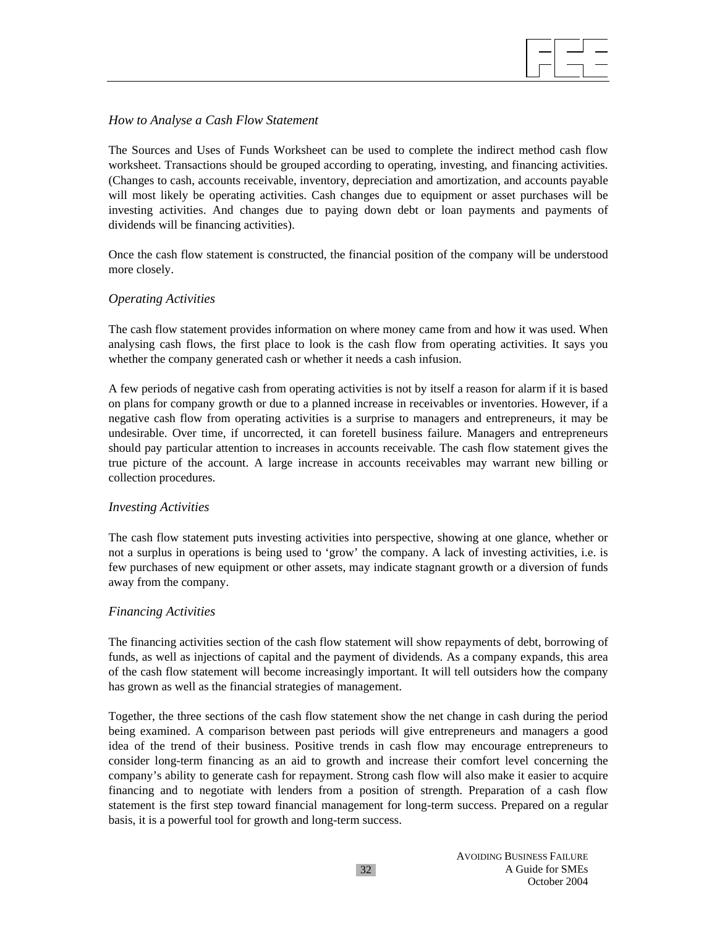### *How to Analyse a Cash Flow Statement*

The Sources and Uses of Funds Worksheet can be used to complete the indirect method cash flow worksheet. Transactions should be grouped according to operating, investing, and financing activities. (Changes to cash, accounts receivable, inventory, depreciation and amortization, and accounts payable will most likely be operating activities. Cash changes due to equipment or asset purchases will be investing activities. And changes due to paying down debt or loan payments and payments of dividends will be financing activities).

Once the cash flow statement is constructed, the financial position of the company will be understood more closely.

#### *Operating Activities*

The cash flow statement provides information on where money came from and how it was used. When analysing cash flows, the first place to look is the cash flow from operating activities. It says you whether the company generated cash or whether it needs a cash infusion.

A few periods of negative cash from operating activities is not by itself a reason for alarm if it is based on plans for company growth or due to a planned increase in receivables or inventories. However, if a negative cash flow from operating activities is a surprise to managers and entrepreneurs, it may be undesirable. Over time, if uncorrected, it can foretell business failure. Managers and entrepreneurs should pay particular attention to increases in accounts receivable. The cash flow statement gives the true picture of the account. A large increase in accounts receivables may warrant new billing or collection procedures.

#### *Investing Activities*

The cash flow statement puts investing activities into perspective, showing at one glance, whether or not a surplus in operations is being used to 'grow' the company. A lack of investing activities, i.e. is few purchases of new equipment or other assets, may indicate stagnant growth or a diversion of funds away from the company.

## *Financing Activities*

The financing activities section of the cash flow statement will show repayments of debt, borrowing of funds, as well as injections of capital and the payment of dividends. As a company expands, this area of the cash flow statement will become increasingly important. It will tell outsiders how the company has grown as well as the financial strategies of management.

Together, the three sections of the cash flow statement show the net change in cash during the period being examined. A comparison between past periods will give entrepreneurs and managers a good idea of the trend of their business. Positive trends in cash flow may encourage entrepreneurs to consider long-term financing as an aid to growth and increase their comfort level concerning the company's ability to generate cash for repayment. Strong cash flow will also make it easier to acquire financing and to negotiate with lenders from a position of strength. Preparation of a cash flow statement is the first step toward financial management for long-term success. Prepared on a regular basis, it is a powerful tool for growth and long-term success.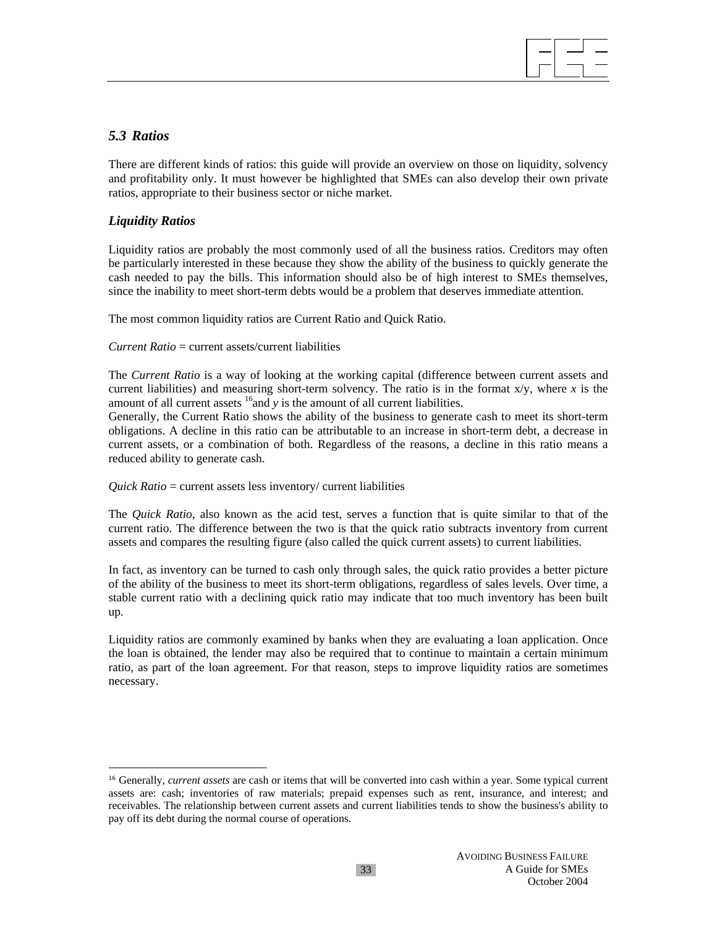

# *5.3 Ratios*

There are different kinds of ratios: this guide will provide an overview on those on liquidity, solvency and profitability only. It must however be highlighted that SMEs can also develop their own private ratios, appropriate to their business sector or niche market.

## *Liquidity Ratios*

l

Liquidity ratios are probably the most commonly used of all the business ratios. Creditors may often be particularly interested in these because they show the ability of the business to quickly generate the cash needed to pay the bills. This information should also be of high interest to SMEs themselves, since the inability to meet short-term debts would be a problem that deserves immediate attention.

The most common liquidity ratios are Current Ratio and Quick Ratio.

*Current Ratio* = current assets/current liabilities

The *Current Ratio* is a way of looking at the working capital (difference between current assets and current liabilities) and measuring short-term solvency. The ratio is in the format x/y, where *x* is the amount of all current assets <sup>16</sup> and *y* is the amount of all current liabilities.

Generally, the Current Ratio shows the ability of the business to generate cash to meet its short-term obligations. A decline in this ratio can be attributable to an increase in short-term debt, a decrease in current assets, or a combination of both. Regardless of the reasons, a decline in this ratio means a reduced ability to generate cash.

#### *Quick Ratio* = current assets less inventory/ current liabilities

The *Quick Ratio*, also known as the acid test, serves a function that is quite similar to that of the current ratio. The difference between the two is that the quick ratio subtracts inventory from current assets and compares the resulting figure (also called the quick current assets) to current liabilities.

In fact, as inventory can be turned to cash only through sales, the quick ratio provides a better picture of the ability of the business to meet its short-term obligations, regardless of sales levels. Over time, a stable current ratio with a declining quick ratio may indicate that too much inventory has been built up.

Liquidity ratios are commonly examined by banks when they are evaluating a loan application. Once the loan is obtained, the lender may also be required that to continue to maintain a certain minimum ratio, as part of the loan agreement. For that reason, steps to improve liquidity ratios are sometimes necessary.

<sup>&</sup>lt;sup>16</sup> Generally, *current assets* are cash or items that will be converted into cash within a year. Some typical current assets are: cash; inventories of raw materials; prepaid expenses such as rent, insurance, and interest; and receivables. The relationship between current assets and current liabilities tends to show the business's ability to pay off its debt during the normal course of operations.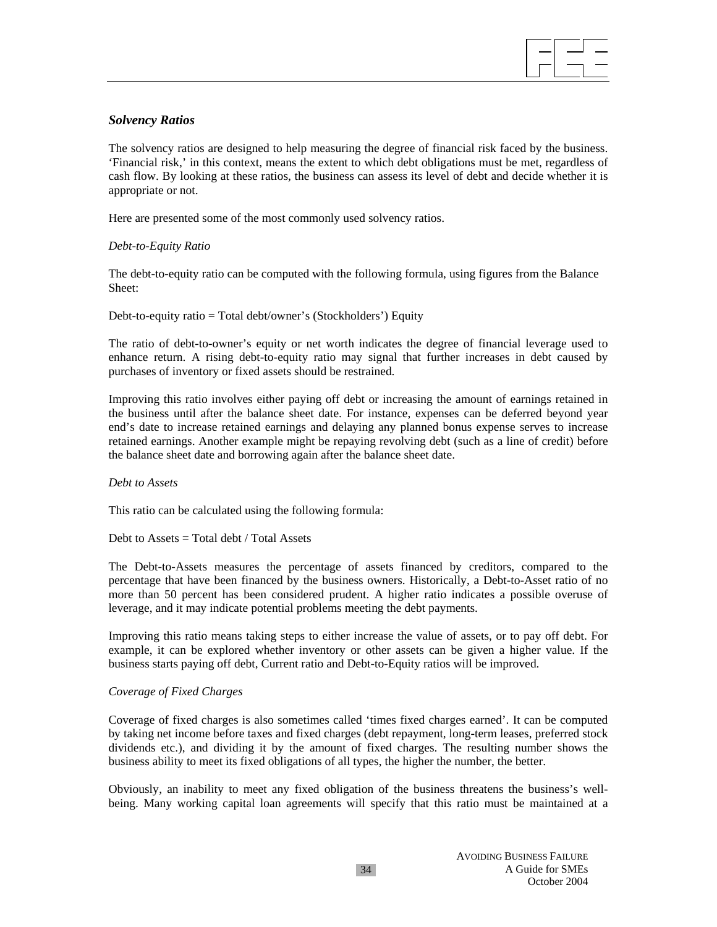

## *Solvency Ratios*

The solvency ratios are designed to help measuring the degree of financial risk faced by the business. 'Financial risk,' in this context, means the extent to which debt obligations must be met, regardless of cash flow. By looking at these ratios, the business can assess its level of debt and decide whether it is appropriate or not.

Here are presented some of the most commonly used solvency ratios.

## *Debt-to-Equity Ratio*

The debt-to-equity ratio can be computed with the following formula, using figures from the Balance Sheet:

Debt-to-equity ratio = Total debt/owner's (Stockholders') Equity

The ratio of debt-to-owner's equity or net worth indicates the degree of financial leverage used to enhance return. A rising debt-to-equity ratio may signal that further increases in debt caused by purchases of inventory or fixed assets should be restrained.

Improving this ratio involves either paying off debt or increasing the amount of earnings retained in the business until after the balance sheet date. For instance, expenses can be deferred beyond year end's date to increase retained earnings and delaying any planned bonus expense serves to increase retained earnings. Another example might be repaying revolving debt (such as a line of credit) before the balance sheet date and borrowing again after the balance sheet date.

*Debt to Assets* 

This ratio can be calculated using the following formula:

Debt to Assets  $=$  Total debt / Total Assets

The Debt-to-Assets measures the percentage of assets financed by creditors, compared to the percentage that have been financed by the business owners. Historically, a Debt-to-Asset ratio of no more than 50 percent has been considered prudent. A higher ratio indicates a possible overuse of leverage, and it may indicate potential problems meeting the debt payments.

Improving this ratio means taking steps to either increase the value of assets, or to pay off debt. For example, it can be explored whether inventory or other assets can be given a higher value. If the business starts paying off debt, Current ratio and Debt-to-Equity ratios will be improved.

#### *Coverage of Fixed Charges*

Coverage of fixed charges is also sometimes called 'times fixed charges earned'. It can be computed by taking net income before taxes and fixed charges (debt repayment, long-term leases, preferred stock dividends etc.), and dividing it by the amount of fixed charges. The resulting number shows the business ability to meet its fixed obligations of all types, the higher the number, the better.

Obviously, an inability to meet any fixed obligation of the business threatens the business's wellbeing. Many working capital loan agreements will specify that this ratio must be maintained at a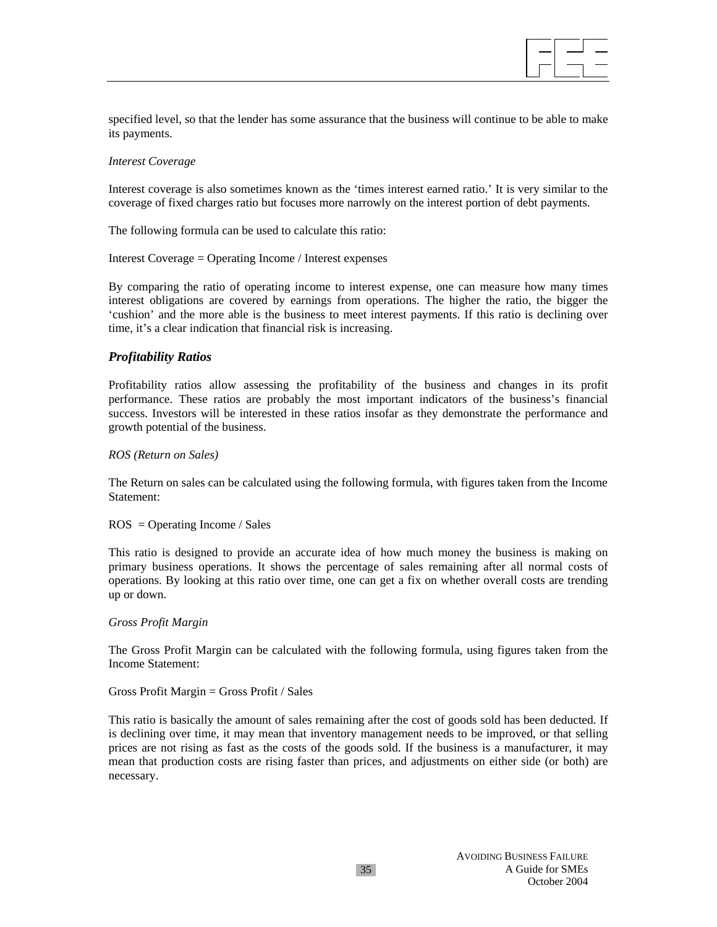

specified level, so that the lender has some assurance that the business will continue to be able to make its payments.

#### *Interest Coverage*

Interest coverage is also sometimes known as the 'times interest earned ratio.' It is very similar to the coverage of fixed charges ratio but focuses more narrowly on the interest portion of debt payments.

The following formula can be used to calculate this ratio:

Interest Coverage = Operating Income / Interest expenses

By comparing the ratio of operating income to interest expense, one can measure how many times interest obligations are covered by earnings from operations. The higher the ratio, the bigger the 'cushion' and the more able is the business to meet interest payments. If this ratio is declining over time, it's a clear indication that financial risk is increasing.

#### *Profitability Ratios*

Profitability ratios allow assessing the profitability of the business and changes in its profit performance. These ratios are probably the most important indicators of the business's financial success. Investors will be interested in these ratios insofar as they demonstrate the performance and growth potential of the business.

*ROS (Return on Sales)* 

The Return on sales can be calculated using the following formula, with figures taken from the Income Statement:

ROS = Operating Income / Sales

This ratio is designed to provide an accurate idea of how much money the business is making on primary business operations. It shows the percentage of sales remaining after all normal costs of operations. By looking at this ratio over time, one can get a fix on whether overall costs are trending up or down.

#### *Gross Profit Margin*

The Gross Profit Margin can be calculated with the following formula, using figures taken from the Income Statement:

Gross Profit Margin = Gross Profit / Sales

This ratio is basically the amount of sales remaining after the cost of goods sold has been deducted. If is declining over time, it may mean that inventory management needs to be improved, or that selling prices are not rising as fast as the costs of the goods sold. If the business is a manufacturer, it may mean that production costs are rising faster than prices, and adjustments on either side (or both) are necessary.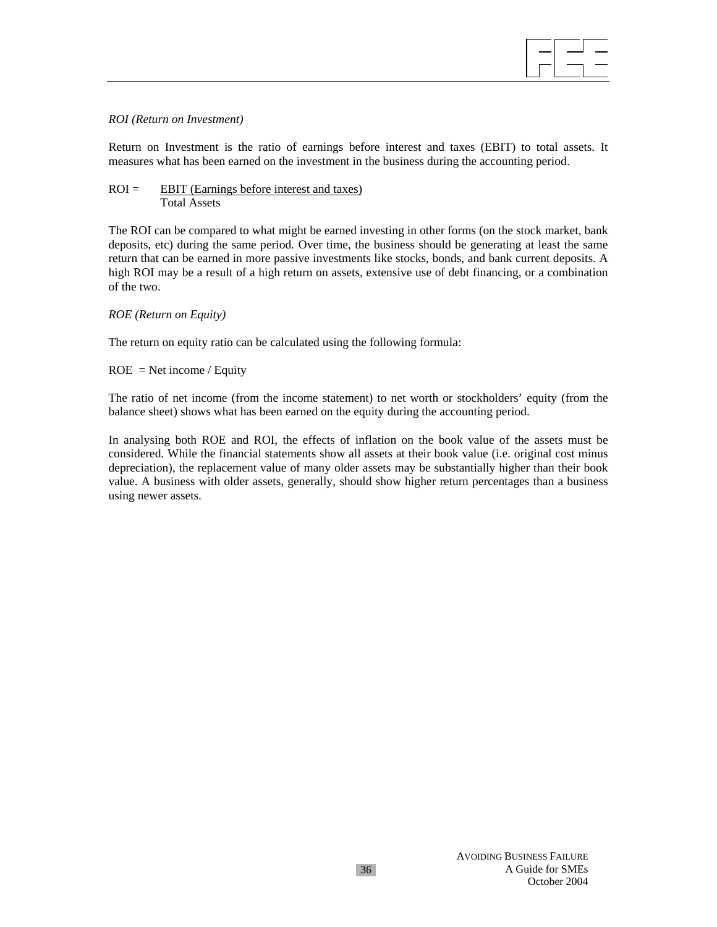

#### *ROI (Return on Investment)*

Return on Investment is the ratio of earnings before interest and taxes (EBIT) to total assets. It measures what has been earned on the investment in the business during the accounting period.

### $ROI = EBIT (Earnings before interest and taxes)$ Total Assets

The ROI can be compared to what might be earned investing in other forms (on the stock market, bank deposits, etc) during the same period. Over time, the business should be generating at least the same return that can be earned in more passive investments like stocks, bonds, and bank current deposits. A high ROI may be a result of a high return on assets, extensive use of debt financing, or a combination of the two.

#### *ROE (Return on Equity)*

The return on equity ratio can be calculated using the following formula:

## $ROE = Net income / Equity$

The ratio of net income (from the income statement) to net worth or stockholders' equity (from the balance sheet) shows what has been earned on the equity during the accounting period.

In analysing both ROE and ROI, the effects of inflation on the book value of the assets must be considered. While the financial statements show all assets at their book value (i.e. original cost minus depreciation), the replacement value of many older assets may be substantially higher than their book value. A business with older assets, generally, should show higher return percentages than a business using newer assets.